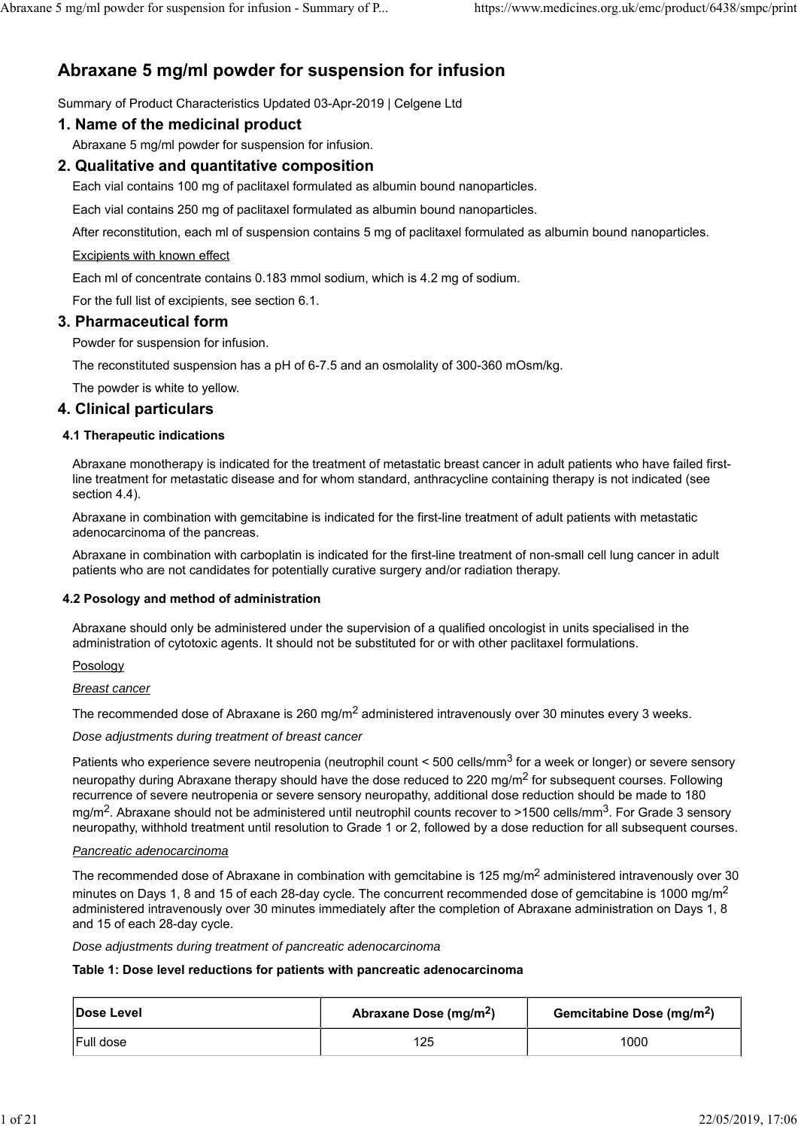# **Abraxane 5 mg/ml powder for suspension for infusion**

Summary of Product Characteristics Updated 03-Apr-2019 | Celgene Ltd

# **1. Name of the medicinal product**

Abraxane 5 mg/ml powder for suspension for infusion.

# **2. Qualitative and quantitative composition**

Each vial contains 100 mg of paclitaxel formulated as albumin bound nanoparticles.

Each vial contains 250 mg of paclitaxel formulated as albumin bound nanoparticles.

After reconstitution, each ml of suspension contains 5 mg of paclitaxel formulated as albumin bound nanoparticles.

### Excipients with known effect

Each ml of concentrate contains 0.183 mmol sodium, which is 4.2 mg of sodium.

For the full list of excipients, see section 6.1.

### **3. Pharmaceutical form**

Powder for suspension for infusion.

The reconstituted suspension has a pH of 6-7.5 and an osmolality of 300-360 mOsm/kg.

The powder is white to yellow.

## **4. Clinical particulars**

### **4.1 Therapeutic indications**

Abraxane monotherapy is indicated for the treatment of metastatic breast cancer in adult patients who have failed firstline treatment for metastatic disease and for whom standard, anthracycline containing therapy is not indicated (see section 4.4).

Abraxane in combination with gemcitabine is indicated for the first-line treatment of adult patients with metastatic adenocarcinoma of the pancreas.

Abraxane in combination with carboplatin is indicated for the first-line treatment of non-small cell lung cancer in adult patients who are not candidates for potentially curative surgery and/or radiation therapy.

#### **4.2 Posology and method of administration**

Abraxane should only be administered under the supervision of a qualified oncologist in units specialised in the administration of cytotoxic agents. It should not be substituted for or with other paclitaxel formulations.

#### Posology

*Breast cancer*

The recommended dose of Abraxane is 260 mg/m<sup>2</sup> administered intravenously over 30 minutes every 3 weeks.

*Dose adjustments during treatment of breast cancer*

Patients who experience severe neutropenia (neutrophil count < 500 cells/mm<sup>3</sup> for a week or longer) or severe sensory neuropathy during Abraxane therapy should have the dose reduced to 220 mg/m<sup>2</sup> for subsequent courses. Following recurrence of severe neutropenia or severe sensory neuropathy, additional dose reduction should be made to 180 mg/m<sup>2</sup>. Abraxane should not be administered until neutrophil counts recover to >1500 cells/mm<sup>3</sup>. For Grade 3 sensory neuropathy, withhold treatment until resolution to Grade 1 or 2, followed by a dose reduction for all subsequent courses.

#### *Pancreatic adenocarcinoma*

The recommended dose of Abraxane in combination with gemcitabine is 125 mg/m<sup>2</sup> administered intravenously over 30 minutes on Days 1, 8 and 15 of each 28-day cycle. The concurrent recommended dose of gemcitabine is 1000 mg/m<sup>2</sup> administered intravenously over 30 minutes immediately after the completion of Abraxane administration on Days 1, 8 and 15 of each 28-day cycle.

*Dose adjustments during treatment of pancreatic adenocarcinoma*

#### **Table 1: Dose level reductions for patients with pancreatic adenocarcinoma**

| Dose Level       | Abraxane Dose (mg/m <sup>2</sup> ) | Gemcitabine Dose (mg/m <sup>2</sup> ) |  |
|------------------|------------------------------------|---------------------------------------|--|
| <b>Full dose</b> | 125                                | 1000                                  |  |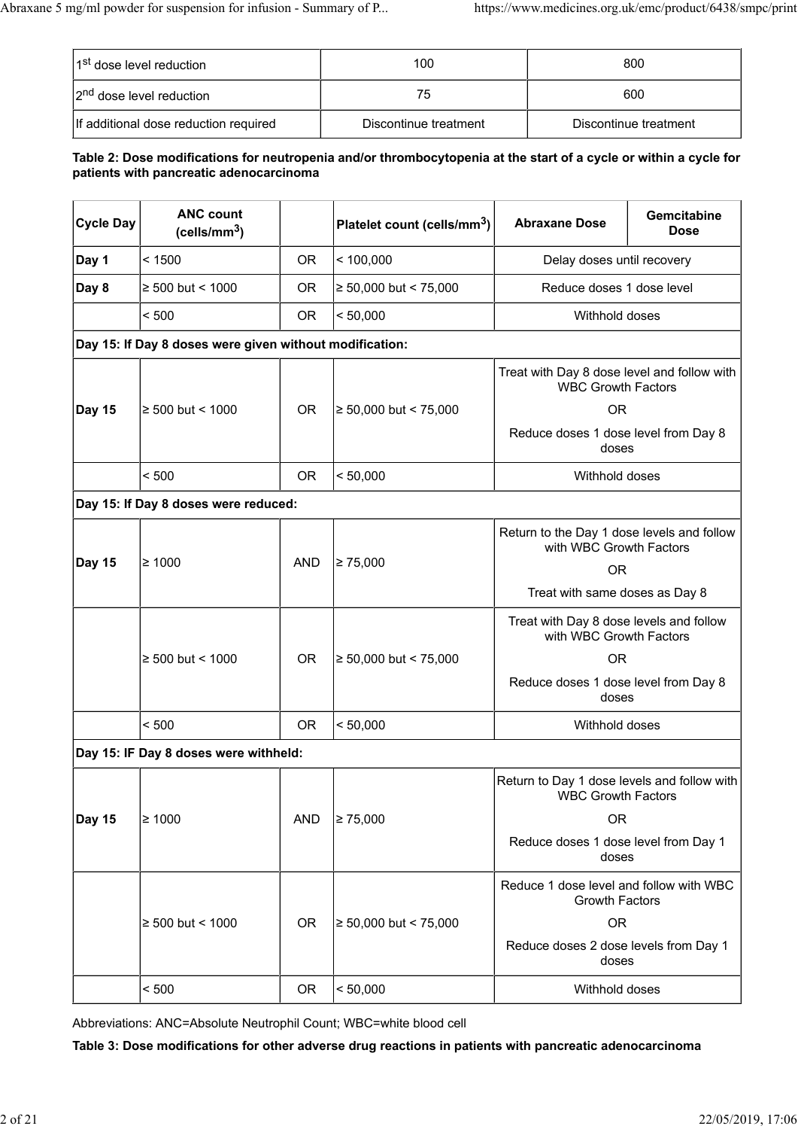| 1 <sup>st</sup> dose level reduction  | 100                   | 800                   |
|---------------------------------------|-----------------------|-----------------------|
| 2 <sup>nd</sup> dose level reduction  | 75                    | 600                   |
| If additional dose reduction required | Discontinue treatment | Discontinue treatment |

### **Table 2: Dose modifications for neutropenia and/or thrombocytopenia at the start of a cycle or within a cycle for patients with pancreatic adenocarcinoma**

| <b>Cycle Day</b> | <b>ANC count</b><br>(cells/mm <sup>3</sup> )            |            | Platelet count (cells/mm <sup>3</sup> ) | <b>Abraxane Dose</b>                                                     | Gemcitabine<br><b>Dose</b> |
|------------------|---------------------------------------------------------|------------|-----------------------------------------|--------------------------------------------------------------------------|----------------------------|
| Day 1            | < 1500                                                  | <b>OR</b>  | < 100,000                               | Delay doses until recovery                                               |                            |
| Day 8            | ≥ 500 but < 1000                                        | 0R         | $\geq 50,000$ but < 75,000              | Reduce doses 1 dose level                                                |                            |
|                  | < 500                                                   | <b>OR</b>  | < 50,000                                | Withhold doses                                                           |                            |
|                  | Day 15: If Day 8 doses were given without modification: |            |                                         |                                                                          |                            |
|                  |                                                         |            |                                         | Treat with Day 8 dose level and follow with<br><b>WBC Growth Factors</b> |                            |
| <b>Day 15</b>    | $≥ 500$ but < 1000                                      | <b>OR</b>  | $\geq 50,000$ but < 75,000              | <b>OR</b>                                                                |                            |
|                  |                                                         |            |                                         | Reduce doses 1 dose level from Day 8<br>doses                            |                            |
|                  | < 500                                                   | <b>OR</b>  | < 50,000                                | Withhold doses                                                           |                            |
|                  | Day 15: If Day 8 doses were reduced:                    |            |                                         |                                                                          |                            |
|                  |                                                         |            |                                         | Return to the Day 1 dose levels and follow<br>with WBC Growth Factors    |                            |
| <b>Day 15</b>    | $\geq 1000$                                             | <b>AND</b> | $\geq 75,000$                           | <b>OR</b>                                                                |                            |
|                  |                                                         |            |                                         | Treat with same doses as Day 8                                           |                            |
|                  |                                                         |            |                                         | Treat with Day 8 dose levels and follow<br>with WBC Growth Factors       |                            |
|                  | $\geq 500$ but < 1000                                   | <b>OR</b>  | $≥ 50,000$ but < 75,000                 | OR.                                                                      |                            |
|                  |                                                         |            |                                         | Reduce doses 1 dose level from Day 8<br>doses                            |                            |
|                  | < 500                                                   | <b>OR</b>  | < 50,000                                | Withhold doses                                                           |                            |
|                  | Day 15: IF Day 8 doses were withheld:                   |            |                                         |                                                                          |                            |
|                  |                                                         |            |                                         | Return to Day 1 dose levels and follow with<br><b>WBC Growth Factors</b> |                            |
| <b>Day 15</b>    | $\geq 1000$                                             | <b>AND</b> | $\geq 75,000$                           | 0 <sub>R</sub>                                                           |                            |
|                  |                                                         |            |                                         | Reduce doses 1 dose level from Day 1<br>doses                            |                            |
|                  |                                                         |            |                                         | Reduce 1 dose level and follow with WBC<br><b>Growth Factors</b>         |                            |
|                  | ≥ 500 but < 1000                                        | <b>OR</b>  | ≥ 50,000 but < 75,000                   | <b>OR</b>                                                                |                            |
|                  |                                                         |            |                                         | Reduce doses 2 dose levels from Day 1<br>doses                           |                            |
|                  | < 500                                                   | <b>OR</b>  | < 50,000                                | Withhold doses                                                           |                            |

Abbreviations: ANC=Absolute Neutrophil Count; WBC=white blood cell

**Table 3: Dose modifications for other adverse drug reactions in patients with pancreatic adenocarcinoma**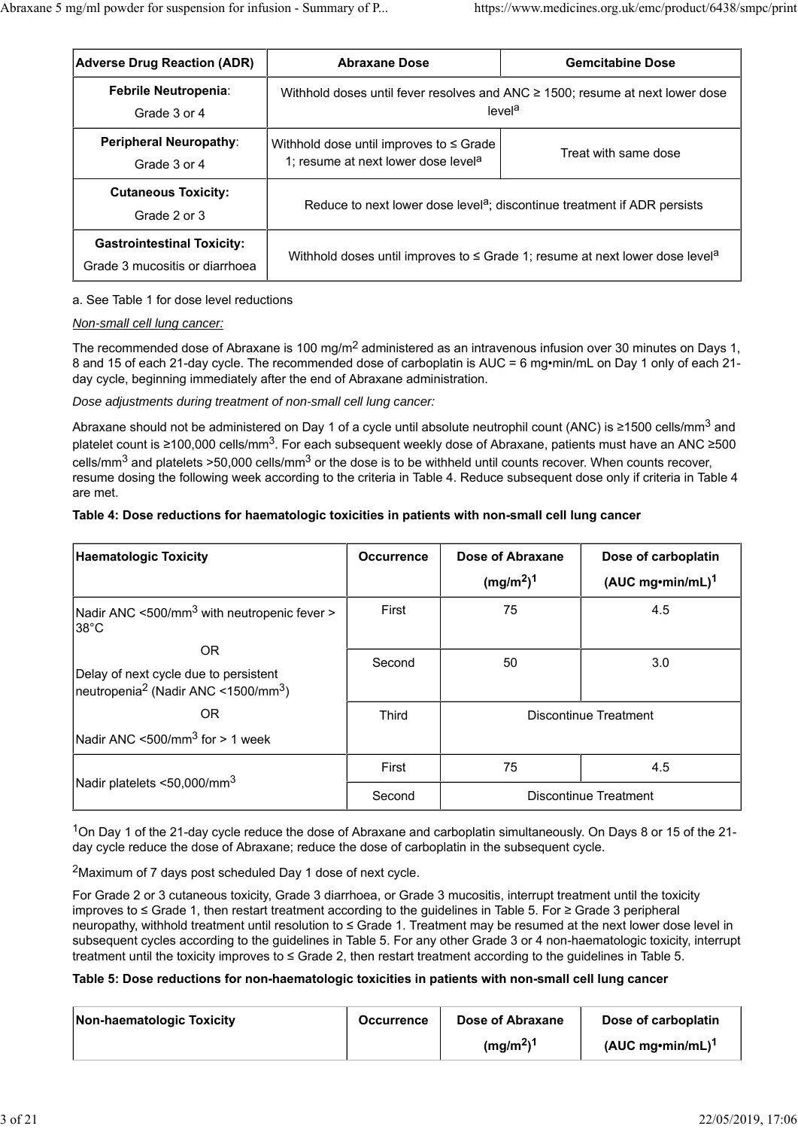| <b>Adverse Drug Reaction (ADR)</b>                                  | <b>Abraxane Dose</b>                                                                            | <b>Gemcitabine Dose</b>                                                                                  |
|---------------------------------------------------------------------|-------------------------------------------------------------------------------------------------|----------------------------------------------------------------------------------------------------------|
| Febrile Neutropenia:<br>Grade 3 or 4                                |                                                                                                 | Withhold doses until fever resolves and ANC $\geq$ 1500; resume at next lower dose<br>level <sup>a</sup> |
| <b>Peripheral Neuropathy:</b><br>Grade 3 or 4                       | Withhold dose until improves to $\leq$ Grade<br>1; resume at next lower dose level <sup>a</sup> | Treat with same dose                                                                                     |
| <b>Cutaneous Toxicity:</b><br>Grade 2 or 3                          |                                                                                                 | Reduce to next lower dose level <sup>a</sup> ; discontinue treatment if ADR persists                     |
| <b>Gastrointestinal Toxicity:</b><br>Grade 3 mucositis or diarrhoea | Withhold doses until improves to $\leq$ Grade 1; resume at next lower dose level <sup>a</sup>   |                                                                                                          |

### a. See Table 1 for dose level reductions

#### *Non-small cell lung cancer:*

The recommended dose of Abraxane is 100 mg/m<sup>2</sup> administered as an intravenous infusion over 30 minutes on Days 1, 8 and 15 of each 21-day cycle. The recommended dose of carboplatin is AUC = 6 mg•min/mL on Day 1 only of each 21 day cycle, beginning immediately after the end of Abraxane administration.

### *Dose adjustments during treatment of non-small cell lung cancer:*

Abraxane should not be administered on Day 1 of a cycle until absolute neutrophil count (ANC) is ≥1500 cells/mm<sup>3</sup> and platelet count is ≥100,000 cells/mm<sup>3</sup>. For each subsequent weekly dose of Abraxane, patients must have an ANC ≥500 cells/mm<sup>3</sup> and platelets >50,000 cells/mm<sup>3</sup> or the dose is to be withheld until counts recover. When counts recover, resume dosing the following week according to the criteria in Table 4. Reduce subsequent dose only if criteria in Table 4 are met.

### **Table 4: Dose reductions for haematologic toxicities in patients with non-small cell lung cancer**

| <b>Haematologic Toxicity</b>                                                                                | <b>Occurrence</b> | Dose of Abraxane<br>(mg/m <sup>2</sup> ) <sup>1</sup> | Dose of carboplatin<br>$(AUC mg\cdot min/mL)^1$ |
|-------------------------------------------------------------------------------------------------------------|-------------------|-------------------------------------------------------|-------------------------------------------------|
| Nadir ANC <500/mm <sup>3</sup> with neutropenic fever ><br>l38°C                                            | First             | 75                                                    | 4.5                                             |
| OR.<br>Delay of next cycle due to persistent<br>neutropenia <sup>2</sup> (Nadir ANC <1500/mm <sup>3</sup> ) | Second            | 50                                                    | 3.0                                             |
| OR.                                                                                                         | <b>Third</b>      | Discontinue Treatment                                 |                                                 |
| $N$ adir ANC <500/mm <sup>3</sup> for > 1 week                                                              |                   |                                                       |                                                 |
|                                                                                                             | First             | 75                                                    | 4.5                                             |
| Nadir platelets <50,000/mm <sup>3</sup>                                                                     | Second            | Discontinue Treatment                                 |                                                 |

1On Day 1 of the 21-day cycle reduce the dose of Abraxane and carboplatin simultaneously. On Days 8 or 15 of the 21 day cycle reduce the dose of Abraxane; reduce the dose of carboplatin in the subsequent cycle.

2Maximum of 7 days post scheduled Day 1 dose of next cycle.

For Grade 2 or 3 cutaneous toxicity, Grade 3 diarrhoea, or Grade 3 mucositis, interrupt treatment until the toxicity improves to ≤ Grade 1, then restart treatment according to the guidelines in Table 5. For ≥ Grade 3 peripheral neuropathy, withhold treatment until resolution to ≤ Grade 1. Treatment may be resumed at the next lower dose level in subsequent cycles according to the guidelines in Table 5. For any other Grade 3 or 4 non-haematologic toxicity, interrupt treatment until the toxicity improves to ≤ Grade 2, then restart treatment according to the guidelines in Table 5.

#### **Table 5: Dose reductions for non-haematologic toxicities in patients with non-small cell lung cancer**

| Non-haematologic Toxicity | <b>Occurrence</b> | Dose of Abraxane                  | Dose of carboplatin      |
|---------------------------|-------------------|-----------------------------------|--------------------------|
|                           |                   | (mg/m <sup>2</sup> ) <sup>1</sup> | $(AUC mg\cdot min/mL)^1$ |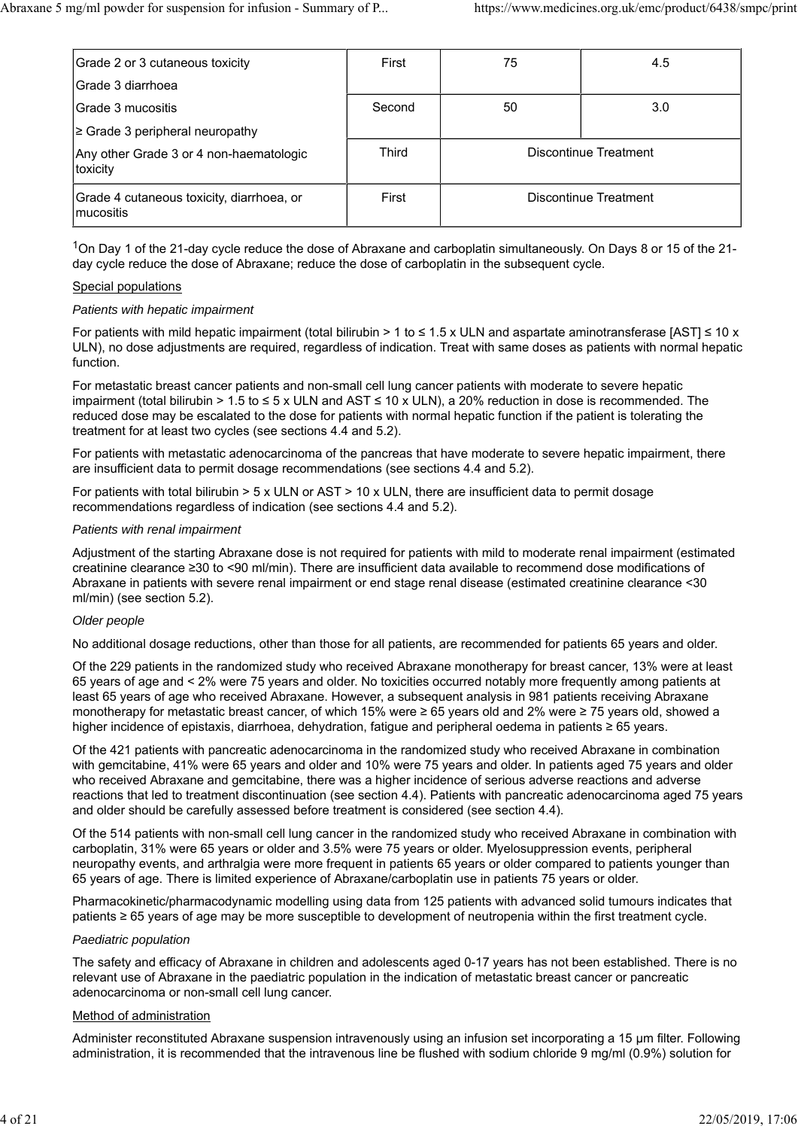| Grade 2 or 3 cutaneous toxicity                         | First  | 75 | 4.5                   |
|---------------------------------------------------------|--------|----|-----------------------|
| lGrade 3 diarrhoea                                      |        |    |                       |
| lGrade 3 mucositis                                      | Second | 50 | 3.0                   |
| $\geq$ Grade 3 peripheral neuropathy                    |        |    |                       |
| Any other Grade 3 or 4 non-haematologic<br>toxicity     | Third  |    | Discontinue Treatment |
| Grade 4 cutaneous toxicity, diarrhoea, or<br>lmucositis | First  |    | Discontinue Treatment |

 $1$ On Day 1 of the 21-day cycle reduce the dose of Abraxane and carboplatin simultaneously. On Days 8 or 15 of the 21day cycle reduce the dose of Abraxane; reduce the dose of carboplatin in the subsequent cycle.

#### Special populations

### *Patients with hepatic impairment*

For patients with mild hepatic impairment (total bilirubin > 1 to ≤ 1.5 x ULN and aspartate aminotransferase [AST] ≤ 10 x ULN), no dose adjustments are required, regardless of indication. Treat with same doses as patients with normal hepatic function.

For metastatic breast cancer patients and non-small cell lung cancer patients with moderate to severe hepatic impairment (total bilirubin > 1.5 to ≤ 5 x ULN and AST ≤ 10 x ULN), a 20% reduction in dose is recommended. The reduced dose may be escalated to the dose for patients with normal hepatic function if the patient is tolerating the treatment for at least two cycles (see sections 4.4 and 5.2).

For patients with metastatic adenocarcinoma of the pancreas that have moderate to severe hepatic impairment, there are insufficient data to permit dosage recommendations (see sections 4.4 and 5.2).

For patients with total bilirubin > 5 x ULN or AST > 10 x ULN, there are insufficient data to permit dosage recommendations regardless of indication (see sections 4.4 and 5.2).

#### *Patients with renal impairment*

Adjustment of the starting Abraxane dose is not required for patients with mild to moderate renal impairment (estimated creatinine clearance ≥30 to <90 ml/min). There are insufficient data available to recommend dose modifications of Abraxane in patients with severe renal impairment or end stage renal disease (estimated creatinine clearance <30 ml/min) (see section 5.2).

#### *Older people*

No additional dosage reductions, other than those for all patients, are recommended for patients 65 years and older.

Of the 229 patients in the randomized study who received Abraxane monotherapy for breast cancer, 13% were at least 65 years of age and < 2% were 75 years and older. No toxicities occurred notably more frequently among patients at least 65 years of age who received Abraxane. However, a subsequent analysis in 981 patients receiving Abraxane monotherapy for metastatic breast cancer, of which 15% were ≥ 65 years old and 2% were ≥ 75 years old, showed a higher incidence of epistaxis, diarrhoea, dehydration, fatigue and peripheral oedema in patients ≥ 65 years.

Of the 421 patients with pancreatic adenocarcinoma in the randomized study who received Abraxane in combination with gemcitabine, 41% were 65 years and older and 10% were 75 years and older. In patients aged 75 years and older who received Abraxane and gemcitabine, there was a higher incidence of serious adverse reactions and adverse reactions that led to treatment discontinuation (see section 4.4). Patients with pancreatic adenocarcinoma aged 75 years and older should be carefully assessed before treatment is considered (see section 4.4).

Of the 514 patients with non-small cell lung cancer in the randomized study who received Abraxane in combination with carboplatin, 31% were 65 years or older and 3.5% were 75 years or older. Myelosuppression events, peripheral neuropathy events, and arthralgia were more frequent in patients 65 years or older compared to patients younger than 65 years of age. There is limited experience of Abraxane/carboplatin use in patients 75 years or older.

Pharmacokinetic/pharmacodynamic modelling using data from 125 patients with advanced solid tumours indicates that patients ≥ 65 years of age may be more susceptible to development of neutropenia within the first treatment cycle.

#### *Paediatric population*

The safety and efficacy of Abraxane in children and adolescents aged 0-17 years has not been established. There is no relevant use of Abraxane in the paediatric population in the indication of metastatic breast cancer or pancreatic adenocarcinoma or non-small cell lung cancer.

#### Method of administration

Administer reconstituted Abraxane suspension intravenously using an infusion set incorporating a 15 µm filter. Following administration, it is recommended that the intravenous line be flushed with sodium chloride 9 mg/ml (0.9%) solution for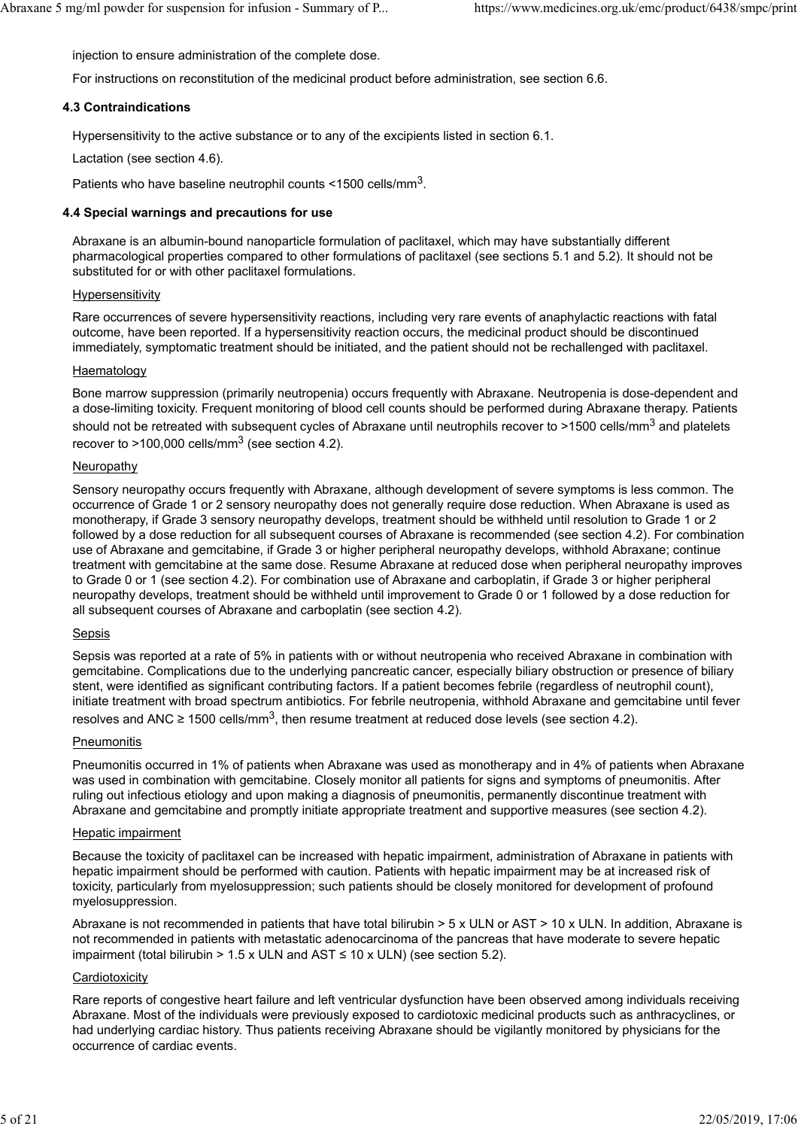injection to ensure administration of the complete dose.

For instructions on reconstitution of the medicinal product before administration, see section 6.6.

#### **4.3 Contraindications**

Hypersensitivity to the active substance or to any of the excipients listed in section 6.1.

Lactation (see section 4.6).

Patients who have baseline neutrophil counts <1500 cells/mm3.

#### **4.4 Special warnings and precautions for use**

Abraxane is an albumin-bound nanoparticle formulation of paclitaxel, which may have substantially different pharmacological properties compared to other formulations of paclitaxel (see sections 5.1 and 5.2). It should not be substituted for or with other paclitaxel formulations.

#### Hypersensitivity

Rare occurrences of severe hypersensitivity reactions, including very rare events of anaphylactic reactions with fatal outcome, have been reported. If a hypersensitivity reaction occurs, the medicinal product should be discontinued immediately, symptomatic treatment should be initiated, and the patient should not be rechallenged with paclitaxel.

### Haematology

Bone marrow suppression (primarily neutropenia) occurs frequently with Abraxane. Neutropenia is dose-dependent and a dose-limiting toxicity. Frequent monitoring of blood cell counts should be performed during Abraxane therapy. Patients should not be retreated with subsequent cycles of Abraxane until neutrophils recover to >1500 cells/mm<sup>3</sup> and platelets recover to  $>100,000$  cells/mm<sup>3</sup> (see section 4.2).

### Neuropathy

Sensory neuropathy occurs frequently with Abraxane, although development of severe symptoms is less common. The occurrence of Grade 1 or 2 sensory neuropathy does not generally require dose reduction. When Abraxane is used as monotherapy, if Grade 3 sensory neuropathy develops, treatment should be withheld until resolution to Grade 1 or 2 followed by a dose reduction for all subsequent courses of Abraxane is recommended (see section 4.2). For combination use of Abraxane and gemcitabine, if Grade 3 or higher peripheral neuropathy develops, withhold Abraxane; continue treatment with gemcitabine at the same dose. Resume Abraxane at reduced dose when peripheral neuropathy improves to Grade 0 or 1 (see section 4.2). For combination use of Abraxane and carboplatin, if Grade 3 or higher peripheral neuropathy develops, treatment should be withheld until improvement to Grade 0 or 1 followed by a dose reduction for all subsequent courses of Abraxane and carboplatin (see section 4.2).

#### Sepsis

Sepsis was reported at a rate of 5% in patients with or without neutropenia who received Abraxane in combination with gemcitabine. Complications due to the underlying pancreatic cancer, especially biliary obstruction or presence of biliary stent, were identified as significant contributing factors. If a patient becomes febrile (regardless of neutrophil count), initiate treatment with broad spectrum antibiotics. For febrile neutropenia, withhold Abraxane and gemcitabine until fever resolves and ANC ≥ 1500 cells/mm<sup>3</sup>, then resume treatment at reduced dose levels (see section 4.2).

#### **Pneumonitis**

Pneumonitis occurred in 1% of patients when Abraxane was used as monotherapy and in 4% of patients when Abraxane was used in combination with gemcitabine. Closely monitor all patients for signs and symptoms of pneumonitis. After ruling out infectious etiology and upon making a diagnosis of pneumonitis, permanently discontinue treatment with Abraxane and gemcitabine and promptly initiate appropriate treatment and supportive measures (see section 4.2).

#### Hepatic impairment

Because the toxicity of paclitaxel can be increased with hepatic impairment, administration of Abraxane in patients with hepatic impairment should be performed with caution. Patients with hepatic impairment may be at increased risk of toxicity, particularly from myelosuppression; such patients should be closely monitored for development of profound myelosuppression.

Abraxane is not recommended in patients that have total bilirubin > 5 x ULN or AST > 10 x ULN. In addition, Abraxane is not recommended in patients with metastatic adenocarcinoma of the pancreas that have moderate to severe hepatic impairment (total bilirubin > 1.5 x ULN and AST  $\leq$  10 x ULN) (see section 5.2).

#### **Cardiotoxicity**

Rare reports of congestive heart failure and left ventricular dysfunction have been observed among individuals receiving Abraxane. Most of the individuals were previously exposed to cardiotoxic medicinal products such as anthracyclines, or had underlying cardiac history. Thus patients receiving Abraxane should be vigilantly monitored by physicians for the occurrence of cardiac events.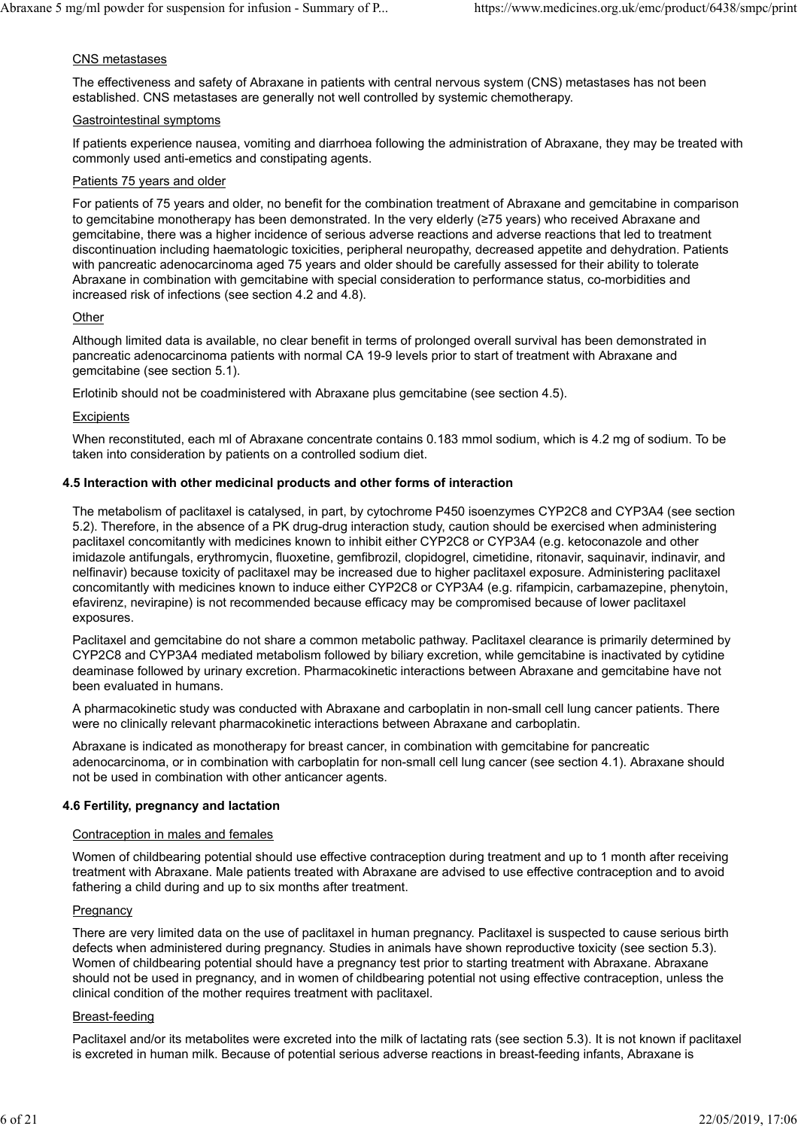### CNS metastases

The effectiveness and safety of Abraxane in patients with central nervous system (CNS) metastases has not been established. CNS metastases are generally not well controlled by systemic chemotherapy.

#### Gastrointestinal symptoms

If patients experience nausea, vomiting and diarrhoea following the administration of Abraxane, they may be treated with commonly used anti-emetics and constipating agents.

### Patients 75 years and older

For patients of 75 years and older, no benefit for the combination treatment of Abraxane and gemcitabine in comparison to gemcitabine monotherapy has been demonstrated. In the very elderly (≥75 years) who received Abraxane and gemcitabine, there was a higher incidence of serious adverse reactions and adverse reactions that led to treatment discontinuation including haematologic toxicities, peripheral neuropathy, decreased appetite and dehydration. Patients with pancreatic adenocarcinoma aged 75 years and older should be carefully assessed for their ability to tolerate Abraxane in combination with gemcitabine with special consideration to performance status, co-morbidities and increased risk of infections (see section 4.2 and 4.8).

### **Other**

Although limited data is available, no clear benefit in terms of prolonged overall survival has been demonstrated in pancreatic adenocarcinoma patients with normal CA 19-9 levels prior to start of treatment with Abraxane and gemcitabine (see section 5.1).

Erlotinib should not be coadministered with Abraxane plus gemcitabine (see section 4.5).

#### **Excipients**

When reconstituted, each ml of Abraxane concentrate contains 0.183 mmol sodium, which is 4.2 mg of sodium. To be taken into consideration by patients on a controlled sodium diet.

### **4.5 Interaction with other medicinal products and other forms of interaction**

The metabolism of paclitaxel is catalysed, in part, by cytochrome P450 isoenzymes CYP2C8 and CYP3A4 (see section 5.2). Therefore, in the absence of a PK drug-drug interaction study, caution should be exercised when administering paclitaxel concomitantly with medicines known to inhibit either CYP2C8 or CYP3A4 (e.g. ketoconazole and other imidazole antifungals, erythromycin, fluoxetine, gemfibrozil, clopidogrel, cimetidine, ritonavir, saquinavir, indinavir, and nelfinavir) because toxicity of paclitaxel may be increased due to higher paclitaxel exposure. Administering paclitaxel concomitantly with medicines known to induce either CYP2C8 or CYP3A4 (e.g. rifampicin, carbamazepine, phenytoin, efavirenz, nevirapine) is not recommended because efficacy may be compromised because of lower paclitaxel exposures.

Paclitaxel and gemcitabine do not share a common metabolic pathway. Paclitaxel clearance is primarily determined by CYP2C8 and CYP3A4 mediated metabolism followed by biliary excretion, while gemcitabine is inactivated by cytidine deaminase followed by urinary excretion. Pharmacokinetic interactions between Abraxane and gemcitabine have not been evaluated in humans.

A pharmacokinetic study was conducted with Abraxane and carboplatin in non-small cell lung cancer patients. There were no clinically relevant pharmacokinetic interactions between Abraxane and carboplatin.

Abraxane is indicated as monotherapy for breast cancer, in combination with gemcitabine for pancreatic adenocarcinoma, or in combination with carboplatin for non-small cell lung cancer (see section 4.1). Abraxane should not be used in combination with other anticancer agents.

#### **4.6 Fertility, pregnancy and lactation**

#### Contraception in males and females

Women of childbearing potential should use effective contraception during treatment and up to 1 month after receiving treatment with Abraxane. Male patients treated with Abraxane are advised to use effective contraception and to avoid fathering a child during and up to six months after treatment.

#### **Pregnancy**

There are very limited data on the use of paclitaxel in human pregnancy. Paclitaxel is suspected to cause serious birth defects when administered during pregnancy. Studies in animals have shown reproductive toxicity (see section 5.3). Women of childbearing potential should have a pregnancy test prior to starting treatment with Abraxane. Abraxane should not be used in pregnancy, and in women of childbearing potential not using effective contraception, unless the clinical condition of the mother requires treatment with paclitaxel.

#### Breast-feeding

Paclitaxel and/or its metabolites were excreted into the milk of lactating rats (see section 5.3). It is not known if paclitaxel is excreted in human milk. Because of potential serious adverse reactions in breast-feeding infants, Abraxane is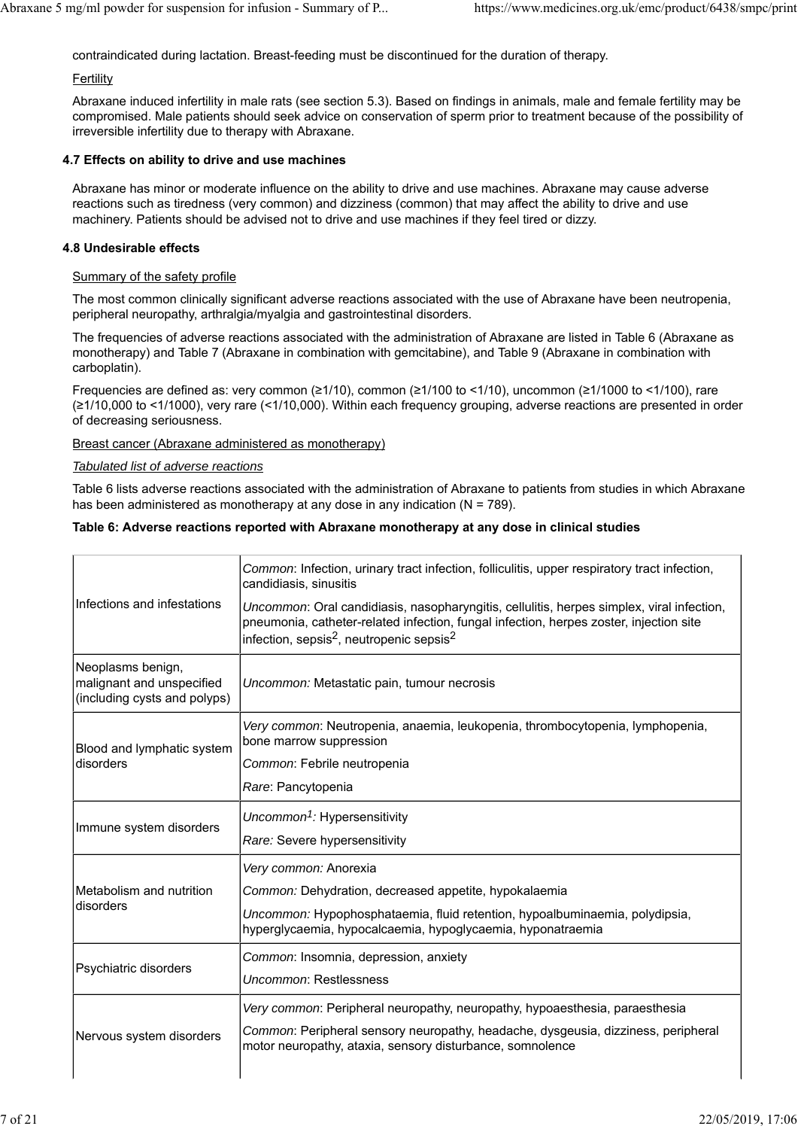contraindicated during lactation. Breast-feeding must be discontinued for the duration of therapy.

#### **Fertility**

Abraxane induced infertility in male rats (see section 5.3). Based on findings in animals, male and female fertility may be compromised. Male patients should seek advice on conservation of sperm prior to treatment because of the possibility of irreversible infertility due to therapy with Abraxane.

### **4.7 Effects on ability to drive and use machines**

Abraxane has minor or moderate influence on the ability to drive and use machines. Abraxane may cause adverse reactions such as tiredness (very common) and dizziness (common) that may affect the ability to drive and use machinery. Patients should be advised not to drive and use machines if they feel tired or dizzy.

### **4.8 Undesirable effects**

#### Summary of the safety profile

The most common clinically significant adverse reactions associated with the use of Abraxane have been neutropenia, peripheral neuropathy, arthralgia/myalgia and gastrointestinal disorders.

The frequencies of adverse reactions associated with the administration of Abraxane are listed in Table 6 (Abraxane as monotherapy) and Table 7 (Abraxane in combination with gemcitabine), and Table 9 (Abraxane in combination with carboplatin).

Frequencies are defined as: very common (≥1/10), common (≥1/100 to <1/10), uncommon (≥1/1000 to <1/100), rare (≥1/10,000 to <1/1000), very rare (<1/10,000). Within each frequency grouping, adverse reactions are presented in order of decreasing seriousness.

### Breast cancer (Abraxane administered as monotherapy)

#### *Tabulated list of adverse reactions*

Table 6 lists adverse reactions associated with the administration of Abraxane to patients from studies in which Abraxane has been administered as monotherapy at any dose in any indication ( $N = 789$ ).

### **Table 6: Adverse reactions reported with Abraxane monotherapy at any dose in clinical studies**

|                                                                                | Common: Infection, urinary tract infection, folliculitis, upper respiratory tract infection,<br>candidiasis, sinusitis                                                                                                                                  |  |  |
|--------------------------------------------------------------------------------|---------------------------------------------------------------------------------------------------------------------------------------------------------------------------------------------------------------------------------------------------------|--|--|
| Infections and infestations                                                    | Uncommon: Oral candidiasis, nasopharyngitis, cellulitis, herpes simplex, viral infection,<br>pneumonia, catheter-related infection, fungal infection, herpes zoster, injection site<br>infection, sepsis <sup>2</sup> , neutropenic sepsis <sup>2</sup> |  |  |
| Neoplasms benign,<br>malignant and unspecified<br>(including cysts and polyps) | Uncommon: Metastatic pain, tumour necrosis                                                                                                                                                                                                              |  |  |
| Blood and lymphatic system                                                     | Very common: Neutropenia, anaemia, leukopenia, thrombocytopenia, lymphopenia,<br>bone marrow suppression                                                                                                                                                |  |  |
| disorders                                                                      | Common: Febrile neutropenia                                                                                                                                                                                                                             |  |  |
|                                                                                | Rare: Pancytopenia                                                                                                                                                                                                                                      |  |  |
|                                                                                | Uncommon <sup>1</sup> : Hypersensitivity                                                                                                                                                                                                                |  |  |
| Immune system disorders                                                        | Rare: Severe hypersensitivity                                                                                                                                                                                                                           |  |  |
|                                                                                | Very common: Anorexia                                                                                                                                                                                                                                   |  |  |
| Metabolism and nutrition                                                       | Common: Dehydration, decreased appetite, hypokalaemia                                                                                                                                                                                                   |  |  |
| disorders                                                                      | Uncommon: Hypophosphataemia, fluid retention, hypoalbuminaemia, polydipsia,<br>hyperglycaemia, hypocalcaemia, hypoglycaemia, hyponatraemia                                                                                                              |  |  |
|                                                                                | Common: Insomnia, depression, anxiety                                                                                                                                                                                                                   |  |  |
| Psychiatric disorders                                                          | Uncommon: Restlessness                                                                                                                                                                                                                                  |  |  |
|                                                                                | Very common: Peripheral neuropathy, neuropathy, hypoaesthesia, paraesthesia                                                                                                                                                                             |  |  |
| Nervous system disorders                                                       | Common: Peripheral sensory neuropathy, headache, dysgeusia, dizziness, peripheral<br>motor neuropathy, ataxia, sensory disturbance, somnolence                                                                                                          |  |  |
|                                                                                |                                                                                                                                                                                                                                                         |  |  |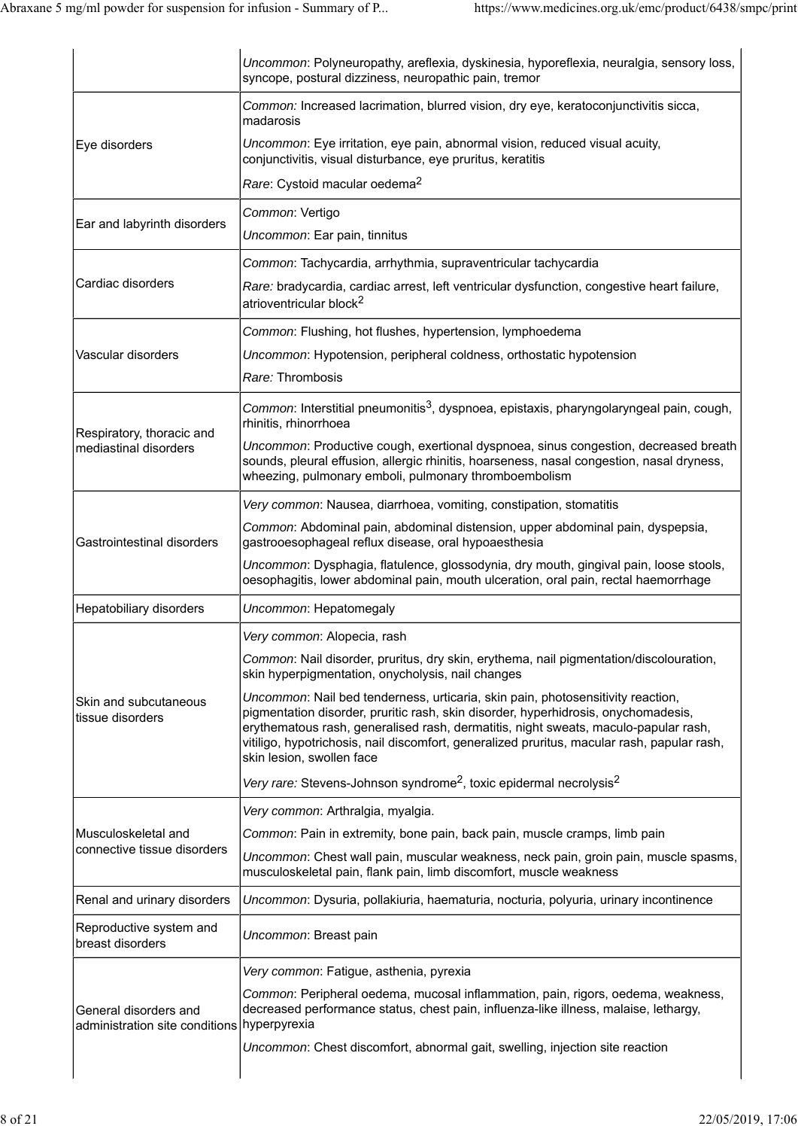|                                                                      | Uncommon: Polyneuropathy, areflexia, dyskinesia, hyporeflexia, neuralgia, sensory loss,<br>syncope, postural dizziness, neuropathic pain, tremor                                                                                                                                                                                                                                         |
|----------------------------------------------------------------------|------------------------------------------------------------------------------------------------------------------------------------------------------------------------------------------------------------------------------------------------------------------------------------------------------------------------------------------------------------------------------------------|
|                                                                      | Common: Increased lacrimation, blurred vision, dry eye, keratoconjunctivitis sicca,<br>madarosis                                                                                                                                                                                                                                                                                         |
| Eye disorders                                                        | Uncommon: Eye irritation, eye pain, abnormal vision, reduced visual acuity,<br>conjunctivitis, visual disturbance, eye pruritus, keratitis                                                                                                                                                                                                                                               |
|                                                                      | Rare: Cystoid macular oedema <sup>2</sup>                                                                                                                                                                                                                                                                                                                                                |
| Ear and labyrinth disorders                                          | Common: Vertigo                                                                                                                                                                                                                                                                                                                                                                          |
|                                                                      | Uncommon: Ear pain, tinnitus                                                                                                                                                                                                                                                                                                                                                             |
|                                                                      | Common: Tachycardia, arrhythmia, supraventricular tachycardia                                                                                                                                                                                                                                                                                                                            |
| Cardiac disorders                                                    | Rare: bradycardia, cardiac arrest, left ventricular dysfunction, congestive heart failure,<br>atrioventricular block <sup>2</sup>                                                                                                                                                                                                                                                        |
|                                                                      | Common: Flushing, hot flushes, hypertension, lymphoedema                                                                                                                                                                                                                                                                                                                                 |
| Vascular disorders                                                   | Uncommon: Hypotension, peripheral coldness, orthostatic hypotension                                                                                                                                                                                                                                                                                                                      |
|                                                                      | Rare: Thrombosis                                                                                                                                                                                                                                                                                                                                                                         |
| Respiratory, thoracic and                                            | Common: Interstitial pneumonitis <sup>3</sup> , dyspnoea, epistaxis, pharyngolaryngeal pain, cough,<br>rhinitis, rhinorrhoea                                                                                                                                                                                                                                                             |
| mediastinal disorders                                                | Uncommon: Productive cough, exertional dyspnoea, sinus congestion, decreased breath<br>sounds, pleural effusion, allergic rhinitis, hoarseness, nasal congestion, nasal dryness,<br>wheezing, pulmonary emboli, pulmonary thromboembolism                                                                                                                                                |
|                                                                      | Very common: Nausea, diarrhoea, vomiting, constipation, stomatitis                                                                                                                                                                                                                                                                                                                       |
| Gastrointestinal disorders                                           | Common: Abdominal pain, abdominal distension, upper abdominal pain, dyspepsia,<br>gastrooesophageal reflux disease, oral hypoaesthesia                                                                                                                                                                                                                                                   |
|                                                                      | Uncommon: Dysphagia, flatulence, glossodynia, dry mouth, gingival pain, loose stools,<br>oesophagitis, lower abdominal pain, mouth ulceration, oral pain, rectal haemorrhage                                                                                                                                                                                                             |
| Hepatobiliary disorders                                              | Uncommon: Hepatomegaly                                                                                                                                                                                                                                                                                                                                                                   |
|                                                                      | Very common: Alopecia, rash                                                                                                                                                                                                                                                                                                                                                              |
|                                                                      | Common: Nail disorder, pruritus, dry skin, erythema, nail pigmentation/discolouration,<br>skin hyperpigmentation, onycholysis, nail changes                                                                                                                                                                                                                                              |
| Skin and subcutaneous<br>tissue disorders                            | Uncommon: Nail bed tenderness, urticaria, skin pain, photosensitivity reaction,<br>pigmentation disorder, pruritic rash, skin disorder, hyperhidrosis, onychomadesis,<br>erythematous rash, generalised rash, dermatitis, night sweats, maculo-papular rash,<br>vitiligo, hypotrichosis, nail discomfort, generalized pruritus, macular rash, papular rash,<br>skin lesion, swollen face |
|                                                                      | Very rare: Stevens-Johnson syndrome <sup>2</sup> , toxic epidermal necrolysis <sup>2</sup>                                                                                                                                                                                                                                                                                               |
|                                                                      | Very common: Arthralgia, myalgia.                                                                                                                                                                                                                                                                                                                                                        |
| Musculoskeletal and                                                  | Common: Pain in extremity, bone pain, back pain, muscle cramps, limb pain                                                                                                                                                                                                                                                                                                                |
| connective tissue disorders                                          | Uncommon: Chest wall pain, muscular weakness, neck pain, groin pain, muscle spasms,<br>musculoskeletal pain, flank pain, limb discomfort, muscle weakness                                                                                                                                                                                                                                |
| Renal and urinary disorders                                          | Uncommon: Dysuria, pollakiuria, haematuria, nocturia, polyuria, urinary incontinence                                                                                                                                                                                                                                                                                                     |
| Reproductive system and<br>breast disorders                          | Uncommon: Breast pain                                                                                                                                                                                                                                                                                                                                                                    |
|                                                                      | Very common: Fatigue, asthenia, pyrexia                                                                                                                                                                                                                                                                                                                                                  |
| General disorders and<br>administration site conditions hyperpyrexia | Common: Peripheral oedema, mucosal inflammation, pain, rigors, oedema, weakness,<br>decreased performance status, chest pain, influenza-like illness, malaise, lethargy,                                                                                                                                                                                                                 |
|                                                                      | Uncommon: Chest discomfort, abnormal gait, swelling, injection site reaction                                                                                                                                                                                                                                                                                                             |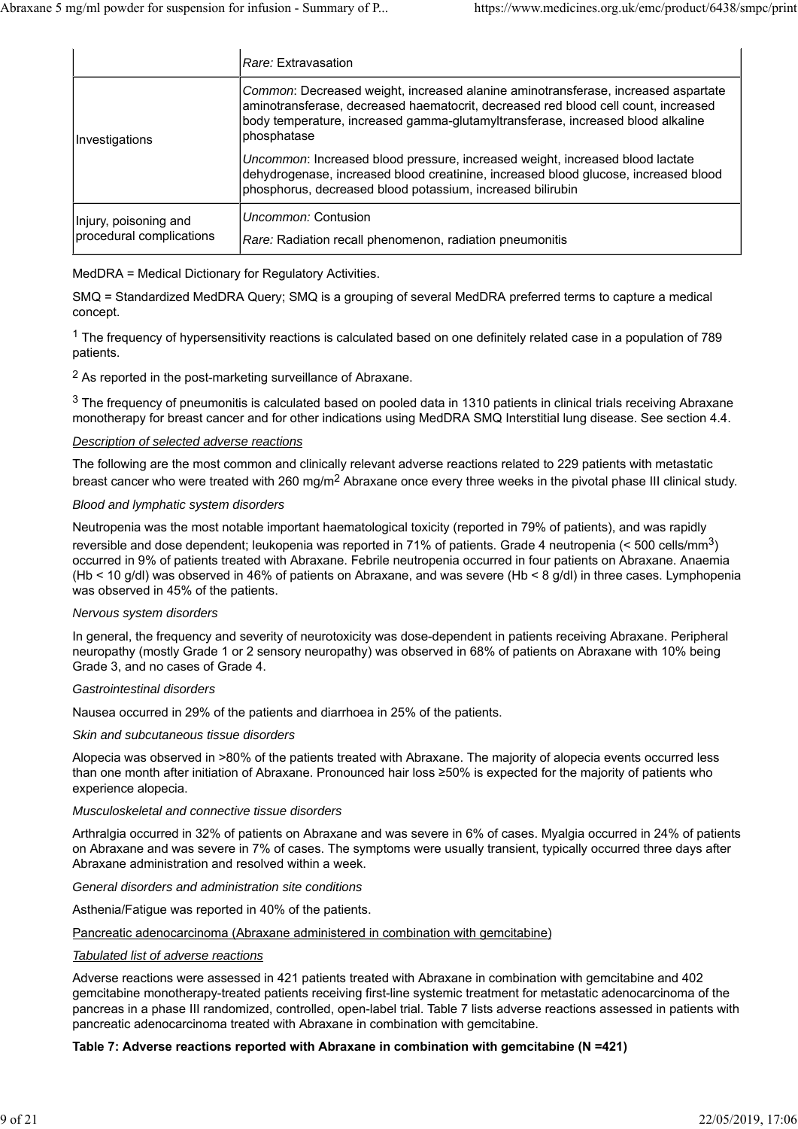|                                                   | Rare: Extravasation                                                                                                                                                                                                                                                       |
|---------------------------------------------------|---------------------------------------------------------------------------------------------------------------------------------------------------------------------------------------------------------------------------------------------------------------------------|
| Investigations                                    | Common: Decreased weight, increased alanine aminotransferase, increased aspartate<br>aminotransferase, decreased haematocrit, decreased red blood cell count, increased<br>body temperature, increased gamma-glutamyltransferase, increased blood alkaline<br>phosphatase |
|                                                   | Uncommon: Increased blood pressure, increased weight, increased blood lactate<br>dehydrogenase, increased blood creatinine, increased blood glucose, increased blood<br>phosphorus, decreased blood potassium, increased bilirubin                                        |
| Injury, poisoning and<br>procedural complications | Uncommon: Contusion<br>Rare: Radiation recall phenomenon, radiation pneumonitis                                                                                                                                                                                           |

### MedDRA = Medical Dictionary for Regulatory Activities.

SMQ = Standardized MedDRA Query; SMQ is a grouping of several MedDRA preferred terms to capture a medical concept.

<sup>1</sup> The frequency of hypersensitivity reactions is calculated based on one definitely related case in a population of 789 patients.

2 As reported in the post-marketing surveillance of Abraxane.

 $3$  The frequency of pneumonitis is calculated based on pooled data in 1310 patients in clinical trials receiving Abraxane monotherapy for breast cancer and for other indications using MedDRA SMQ Interstitial lung disease. See section 4.4.

#### *Description of selected adverse reactions*

The following are the most common and clinically relevant adverse reactions related to 229 patients with metastatic breast cancer who were treated with 260 mg/m<sup>2</sup> Abraxane once every three weeks in the pivotal phase III clinical study.

#### *Blood and lymphatic system disorders*

Neutropenia was the most notable important haematological toxicity (reported in 79% of patients), and was rapidly reversible and dose dependent; leukopenia was reported in 71% of patients. Grade 4 neutropenia (< 500 cells/mm3) occurred in 9% of patients treated with Abraxane. Febrile neutropenia occurred in four patients on Abraxane. Anaemia (Hb < 10 g/dl) was observed in 46% of patients on Abraxane, and was severe (Hb < 8 g/dl) in three cases. Lymphopenia was observed in 45% of the patients.

#### *Nervous system disorders*

In general, the frequency and severity of neurotoxicity was dose-dependent in patients receiving Abraxane. Peripheral neuropathy (mostly Grade 1 or 2 sensory neuropathy) was observed in 68% of patients on Abraxane with 10% being Grade 3, and no cases of Grade 4.

#### *Gastrointestinal disorders*

Nausea occurred in 29% of the patients and diarrhoea in 25% of the patients.

#### *Skin and subcutaneous tissue disorders*

Alopecia was observed in >80% of the patients treated with Abraxane. The majority of alopecia events occurred less than one month after initiation of Abraxane. Pronounced hair loss ≥50% is expected for the majority of patients who experience alopecia.

#### *Musculoskeletal and connective tissue disorders*

Arthralgia occurred in 32% of patients on Abraxane and was severe in 6% of cases. Myalgia occurred in 24% of patients on Abraxane and was severe in 7% of cases. The symptoms were usually transient, typically occurred three days after Abraxane administration and resolved within a week.

#### *General disorders and administration site conditions*

Asthenia/Fatigue was reported in 40% of the patients.

#### Pancreatic adenocarcinoma (Abraxane administered in combination with gemcitabine)

#### *Tabulated list of adverse reactions*

Adverse reactions were assessed in 421 patients treated with Abraxane in combination with gemcitabine and 402 gemcitabine monotherapy-treated patients receiving first-line systemic treatment for metastatic adenocarcinoma of the pancreas in a phase III randomized, controlled, open-label trial. Table 7 lists adverse reactions assessed in patients with pancreatic adenocarcinoma treated with Abraxane in combination with gemcitabine.

#### **Table 7: Adverse reactions reported with Abraxane in combination with gemcitabine (N =421)**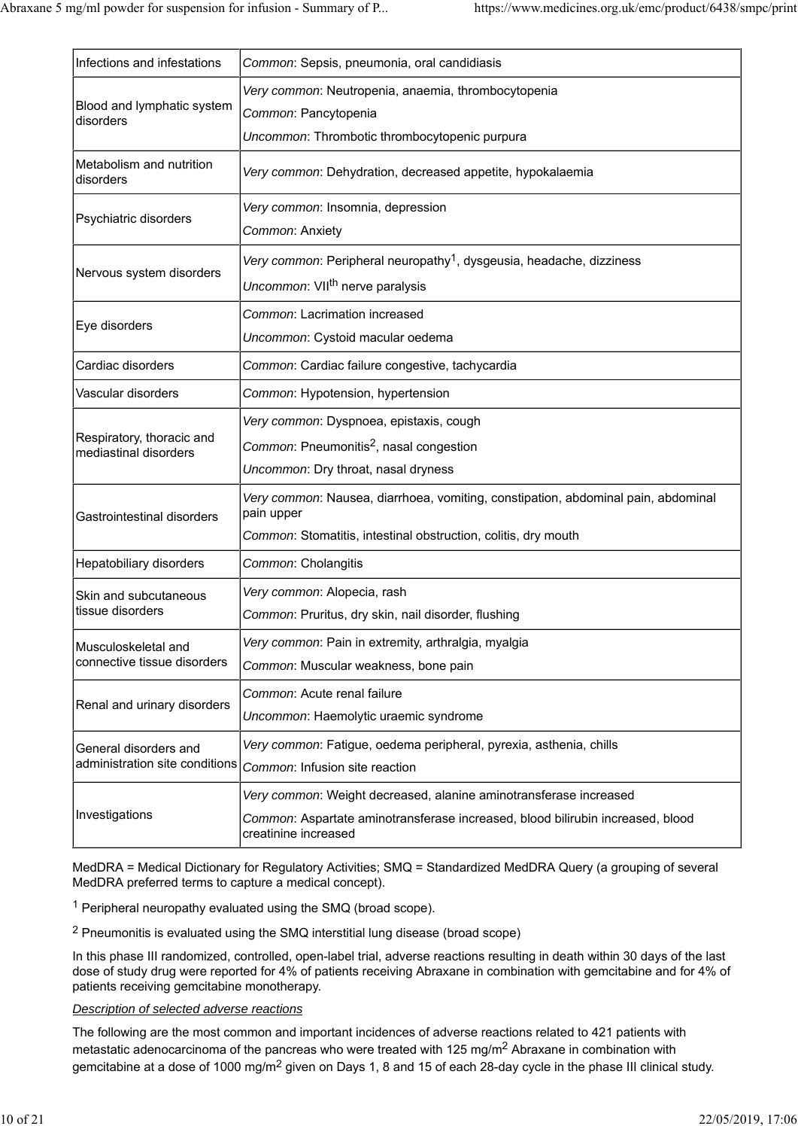| Infections and infestations                             | Common: Sepsis, pneumonia, oral candidiasis                                                                                                                                 |  |  |  |
|---------------------------------------------------------|-----------------------------------------------------------------------------------------------------------------------------------------------------------------------------|--|--|--|
| Blood and lymphatic system<br>disorders                 | Very common: Neutropenia, anaemia, thrombocytopenia<br>Common: Pancytopenia<br>Uncommon: Thrombotic thrombocytopenic purpura                                                |  |  |  |
| Metabolism and nutrition<br>disorders                   | Very common: Dehydration, decreased appetite, hypokalaemia                                                                                                                  |  |  |  |
| Psychiatric disorders                                   | Very common: Insomnia, depression<br>Common: Anxiety                                                                                                                        |  |  |  |
| Nervous system disorders                                | <i>Very common</i> : Peripheral neuropathy <sup>1</sup> , dysgeusia, headache, dizziness<br>Uncommon: VII <sup>th</sup> nerve paralysis                                     |  |  |  |
| Eye disorders                                           | Common: Lacrimation increased<br>Uncommon: Cystoid macular oedema                                                                                                           |  |  |  |
| Cardiac disorders                                       | Common: Cardiac failure congestive, tachycardia                                                                                                                             |  |  |  |
| Vascular disorders                                      | Common: Hypotension, hypertension                                                                                                                                           |  |  |  |
| Respiratory, thoracic and<br>mediastinal disorders      | Very common: Dyspnoea, epistaxis, cough<br>Common: Pneumonitis <sup>2</sup> , nasal congestion<br>Uncommon: Dry throat, nasal dryness                                       |  |  |  |
| Gastrointestinal disorders                              | Very common: Nausea, diarrhoea, vomiting, constipation, abdominal pain, abdominal<br>pain upper<br>Common: Stomatitis, intestinal obstruction, colitis, dry mouth           |  |  |  |
| Hepatobiliary disorders                                 | Common: Cholangitis                                                                                                                                                         |  |  |  |
| Skin and subcutaneous<br>tissue disorders               | Very common: Alopecia, rash<br>Common: Pruritus, dry skin, nail disorder, flushing                                                                                          |  |  |  |
| Musculoskeletal and<br>connective tissue disorders      | Very common: Pain in extremity, arthralgia, myalgia<br>Common: Muscular weakness, bone pain                                                                                 |  |  |  |
| Renal and urinary disorders                             | Common: Acute renal failure<br>Uncommon: Haemolytic uraemic syndrome                                                                                                        |  |  |  |
| General disorders and<br>administration site conditions | Very common: Fatigue, oedema peripheral, pyrexia, asthenia, chills<br>Common: Infusion site reaction                                                                        |  |  |  |
| Investigations                                          | Very common: Weight decreased, alanine aminotransferase increased<br>Common: Aspartate aminotransferase increased, blood bilirubin increased, blood<br>creatinine increased |  |  |  |

MedDRA = Medical Dictionary for Regulatory Activities; SMQ = Standardized MedDRA Query (a grouping of several MedDRA preferred terms to capture a medical concept).

1 Peripheral neuropathy evaluated using the SMQ (broad scope).

2 Pneumonitis is evaluated using the SMQ interstitial lung disease (broad scope)

In this phase III randomized, controlled, open-label trial, adverse reactions resulting in death within 30 days of the last dose of study drug were reported for 4% of patients receiving Abraxane in combination with gemcitabine and for 4% of patients receiving gemcitabine monotherapy.

### *Description of selected adverse reactions*

The following are the most common and important incidences of adverse reactions related to 421 patients with metastatic adenocarcinoma of the pancreas who were treated with 125 mg/m2 Abraxane in combination with gemcitabine at a dose of 1000 mg/m<sup>2</sup> given on Days 1, 8 and 15 of each 28-day cycle in the phase III clinical study.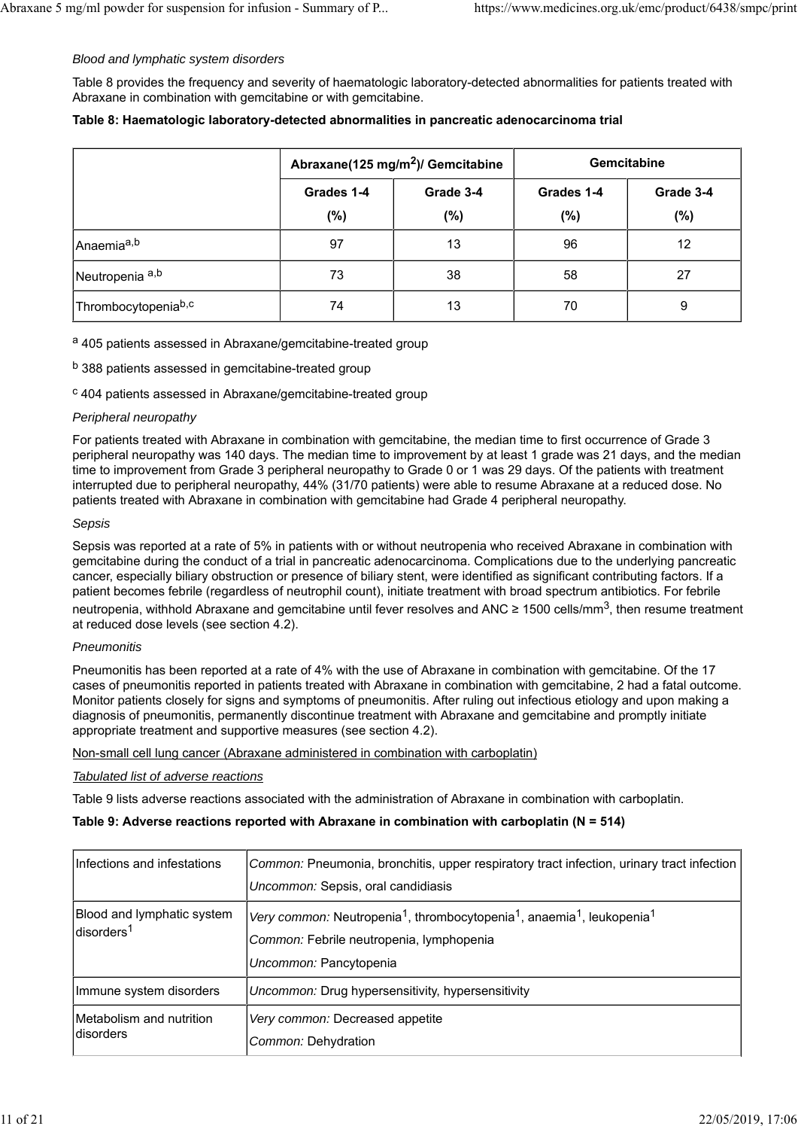#### *Blood and lymphatic system disorders*

Table 8 provides the frequency and severity of haematologic laboratory-detected abnormalities for patients treated with Abraxane in combination with gemcitabine or with gemcitabine.

|  | Abraxane(125 mg/m <sup>2</sup> )/ Gemcitabine |           |            | <b>Gemcitabine</b> |
|--|-----------------------------------------------|-----------|------------|--------------------|
|  | Grades 1-4                                    | Grade 3-4 | Grades 1-4 | Grad               |

|                                              | .<br>. .   |           |            |           |
|----------------------------------------------|------------|-----------|------------|-----------|
|                                              | Grades 1-4 | Grade 3-4 | Grades 1-4 | Grade 3-4 |
|                                              | $(\%)$     | (%)       | (%)        | $(\%)$    |
| Anaemia <sup>a,b</sup>                       | 97         | 13        | 96         | 12        |
| Neutropenia <sup>a,b</sup>                   | 73         | 38        | 58         | 27        |
| <sup>I</sup> Thrombocytopenia <sup>b,c</sup> | 74         | 13        | 70         | 9         |

a 405 patients assessed in Abraxane/gemcitabine-treated group

b 388 patients assessed in gemcitabine-treated group

c 404 patients assessed in Abraxane/gemcitabine-treated group

#### *Peripheral neuropathy*

For patients treated with Abraxane in combination with gemcitabine, the median time to first occurrence of Grade 3 peripheral neuropathy was 140 days. The median time to improvement by at least 1 grade was 21 days, and the median time to improvement from Grade 3 peripheral neuropathy to Grade 0 or 1 was 29 days. Of the patients with treatment interrupted due to peripheral neuropathy, 44% (31/70 patients) were able to resume Abraxane at a reduced dose. No patients treated with Abraxane in combination with gemcitabine had Grade 4 peripheral neuropathy.

#### *Sepsis*

Sepsis was reported at a rate of 5% in patients with or without neutropenia who received Abraxane in combination with gemcitabine during the conduct of a trial in pancreatic adenocarcinoma. Complications due to the underlying pancreatic cancer, especially biliary obstruction or presence of biliary stent, were identified as significant contributing factors. If a patient becomes febrile (regardless of neutrophil count), initiate treatment with broad spectrum antibiotics. For febrile neutropenia, withhold Abraxane and gemcitabine until fever resolves and ANC ≥ 1500 cells/mm<sup>3</sup>, then resume treatment at reduced dose levels (see section 4.2).

#### *Pneumonitis*

Pneumonitis has been reported at a rate of 4% with the use of Abraxane in combination with gemcitabine. Of the 17 cases of pneumonitis reported in patients treated with Abraxane in combination with gemcitabine, 2 had a fatal outcome. Monitor patients closely for signs and symptoms of pneumonitis. After ruling out infectious etiology and upon making a diagnosis of pneumonitis, permanently discontinue treatment with Abraxane and gemcitabine and promptly initiate appropriate treatment and supportive measures (see section 4.2).

#### Non-small cell lung cancer (Abraxane administered in combination with carboplatin)

### *Tabulated list of adverse reactions*

Table 9 lists adverse reactions associated with the administration of Abraxane in combination with carboplatin.

#### **Table 9: Adverse reactions reported with Abraxane in combination with carboplatin (N = 514)**

| Infections and infestations                           | Common: Pneumonia, bronchitis, upper respiratory tract infection, urinary tract infection<br>Uncommon: Sepsis, oral candidiasis                                                              |
|-------------------------------------------------------|----------------------------------------------------------------------------------------------------------------------------------------------------------------------------------------------|
| Blood and lymphatic system<br>ldisorders <sup>1</sup> | Very common: Neutropenia <sup>1</sup> , thrombocytopenia <sup>1</sup> , anaemia <sup>1</sup> , leukopenia <sup>1</sup><br>Common: Febrile neutropenia, lymphopenia<br>Uncommon: Pancytopenia |
| Immune system disorders                               | <i>Uncommon:</i> Drug hypersensitivity, hypersensitivity                                                                                                                                     |
| Metabolism and nutrition<br>ldisorders                | Very common: Decreased appetite<br>Common: Dehydration                                                                                                                                       |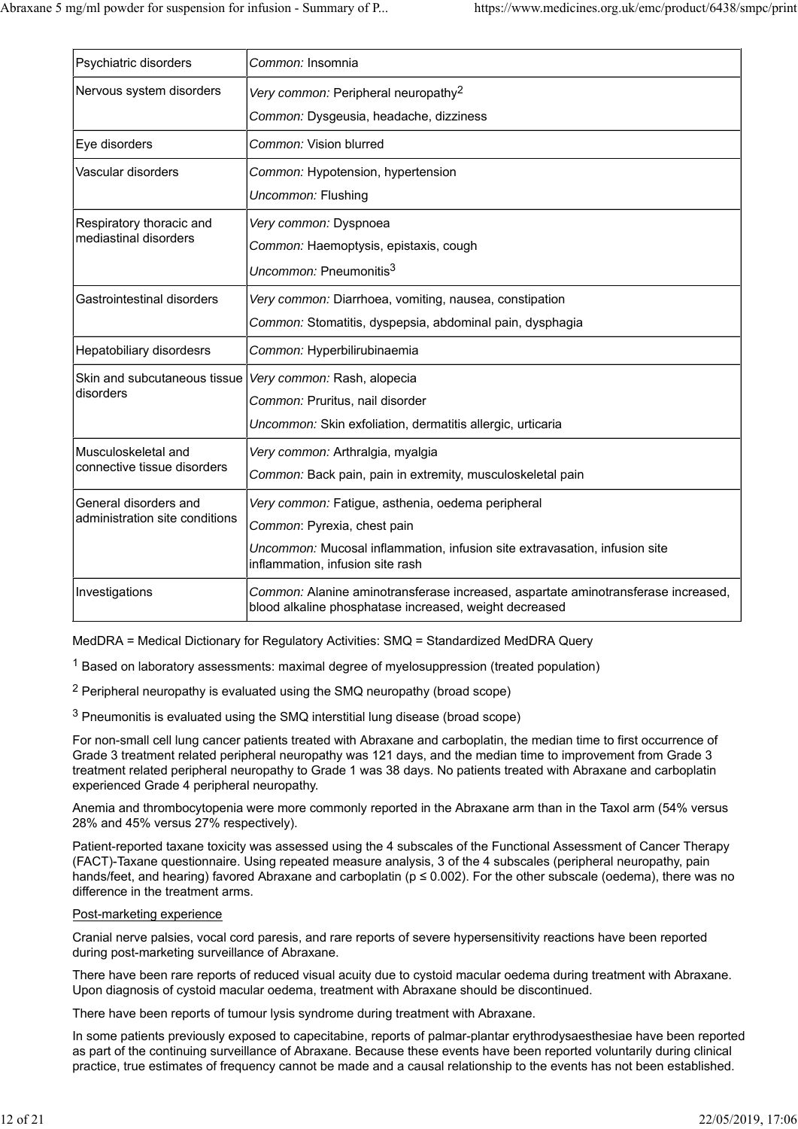| Psychiatric disorders          | Common: Insomnia                                                                                                                            |
|--------------------------------|---------------------------------------------------------------------------------------------------------------------------------------------|
| Nervous system disorders       | Very common: Peripheral neuropathy <sup>2</sup>                                                                                             |
|                                | Common: Dysgeusia, headache, dizziness                                                                                                      |
| Eye disorders                  | Common: Vision blurred                                                                                                                      |
| Vascular disorders             | Common: Hypotension, hypertension                                                                                                           |
|                                | Uncommon: Flushing                                                                                                                          |
| Respiratory thoracic and       | Very common: Dyspnoea                                                                                                                       |
| mediastinal disorders          | Common: Haemoptysis, epistaxis, cough                                                                                                       |
|                                | Uncommon: Pneumonitis <sup>3</sup>                                                                                                          |
| Gastrointestinal disorders     | Very common: Diarrhoea, vomiting, nausea, constipation                                                                                      |
|                                | Common: Stomatitis, dyspepsia, abdominal pain, dysphagia                                                                                    |
| Hepatobiliary disordesrs       | Common: Hyperbilirubinaemia                                                                                                                 |
| Skin and subcutaneous tissue   | Very common: Rash, alopecia                                                                                                                 |
| disorders                      | Common: Pruritus, nail disorder                                                                                                             |
|                                | Uncommon: Skin exfoliation, dermatitis allergic, urticaria                                                                                  |
| Musculoskeletal and            | Very common: Arthralgia, myalgia                                                                                                            |
| connective tissue disorders    | Common: Back pain, pain in extremity, musculoskeletal pain                                                                                  |
| General disorders and          | Very common: Fatigue, asthenia, oedema peripheral                                                                                           |
| administration site conditions | Common: Pyrexia, chest pain                                                                                                                 |
|                                | Uncommon: Mucosal inflammation, infusion site extravasation, infusion site<br>inflammation, infusion site rash                              |
| Investigations                 | Common: Alanine aminotransferase increased, aspartate aminotransferase increased,<br>blood alkaline phosphatase increased, weight decreased |

MedDRA = Medical Dictionary for Regulatory Activities: SMQ = Standardized MedDRA Query

1 Based on laboratory assessments: maximal degree of myelosuppression (treated population)

2 Peripheral neuropathy is evaluated using the SMQ neuropathy (broad scope)

3 Pneumonitis is evaluated using the SMQ interstitial lung disease (broad scope)

For non-small cell lung cancer patients treated with Abraxane and carboplatin, the median time to first occurrence of Grade 3 treatment related peripheral neuropathy was 121 days, and the median time to improvement from Grade 3 treatment related peripheral neuropathy to Grade 1 was 38 days. No patients treated with Abraxane and carboplatin experienced Grade 4 peripheral neuropathy.

Anemia and thrombocytopenia were more commonly reported in the Abraxane arm than in the Taxol arm (54% versus 28% and 45% versus 27% respectively).

Patient-reported taxane toxicity was assessed using the 4 subscales of the Functional Assessment of Cancer Therapy (FACT)-Taxane questionnaire. Using repeated measure analysis, 3 of the 4 subscales (peripheral neuropathy, pain hands/feet, and hearing) favored Abraxane and carboplatin ( $p \le 0.002$ ). For the other subscale (oedema), there was no difference in the treatment arms.

#### Post-marketing experience

Cranial nerve palsies, vocal cord paresis, and rare reports of severe hypersensitivity reactions have been reported during post-marketing surveillance of Abraxane.

There have been rare reports of reduced visual acuity due to cystoid macular oedema during treatment with Abraxane. Upon diagnosis of cystoid macular oedema, treatment with Abraxane should be discontinued.

There have been reports of tumour lysis syndrome during treatment with Abraxane.

In some patients previously exposed to capecitabine, reports of palmar-plantar erythrodysaesthesiae have been reported as part of the continuing surveillance of Abraxane. Because these events have been reported voluntarily during clinical practice, true estimates of frequency cannot be made and a causal relationship to the events has not been established.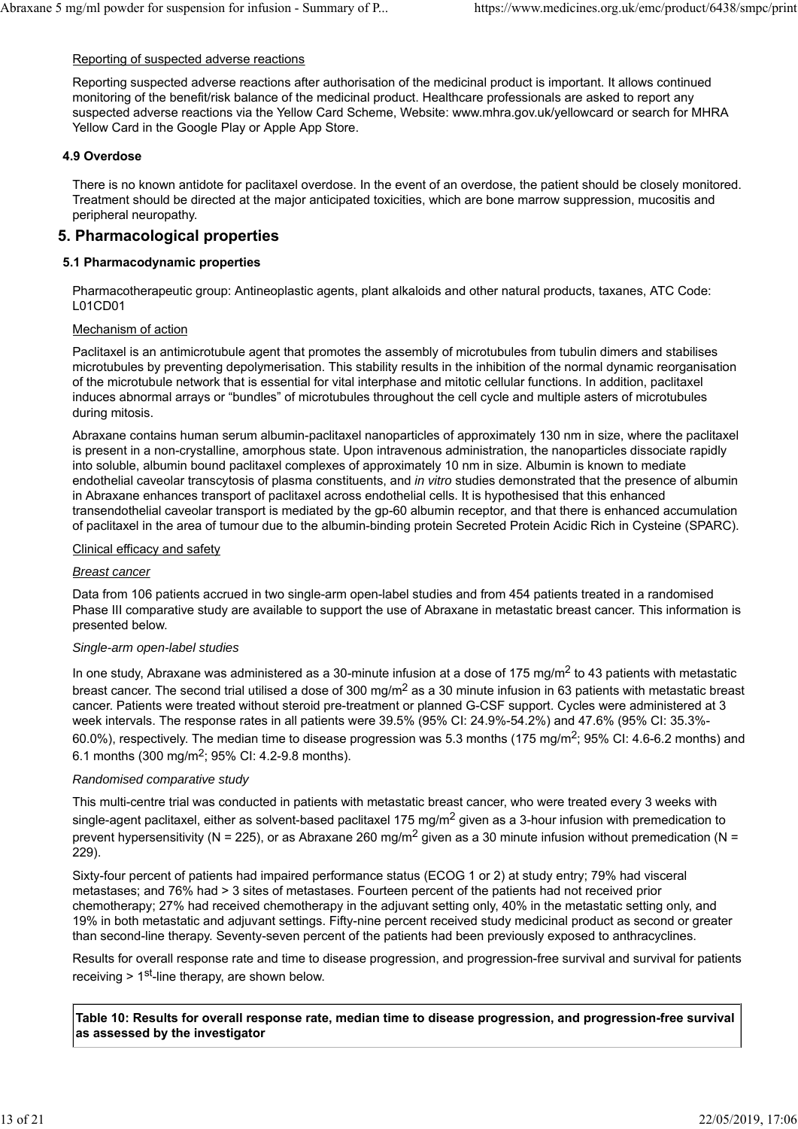### Reporting of suspected adverse reactions

Reporting suspected adverse reactions after authorisation of the medicinal product is important. It allows continued monitoring of the benefit/risk balance of the medicinal product. Healthcare professionals are asked to report any suspected adverse reactions via the Yellow Card Scheme, Website: www.mhra.gov.uk/yellowcard or search for MHRA Yellow Card in the Google Play or Apple App Store.

### **4.9 Overdose**

There is no known antidote for paclitaxel overdose. In the event of an overdose, the patient should be closely monitored. Treatment should be directed at the major anticipated toxicities, which are bone marrow suppression, mucositis and peripheral neuropathy.

### **5. Pharmacological properties**

### **5.1 Pharmacodynamic properties**

Pharmacotherapeutic group: Antineoplastic agents, plant alkaloids and other natural products, taxanes, ATC Code: L01CD01

#### Mechanism of action

Paclitaxel is an antimicrotubule agent that promotes the assembly of microtubules from tubulin dimers and stabilises microtubules by preventing depolymerisation. This stability results in the inhibition of the normal dynamic reorganisation of the microtubule network that is essential for vital interphase and mitotic cellular functions. In addition, paclitaxel induces abnormal arrays or "bundles" of microtubules throughout the cell cycle and multiple asters of microtubules during mitosis.

Abraxane contains human serum albumin-paclitaxel nanoparticles of approximately 130 nm in size, where the paclitaxel is present in a non-crystalline, amorphous state. Upon intravenous administration, the nanoparticles dissociate rapidly into soluble, albumin bound paclitaxel complexes of approximately 10 nm in size. Albumin is known to mediate endothelial caveolar transcytosis of plasma constituents, and *in vitro* studies demonstrated that the presence of albumin in Abraxane enhances transport of paclitaxel across endothelial cells. It is hypothesised that this enhanced transendothelial caveolar transport is mediated by the gp-60 albumin receptor, and that there is enhanced accumulation of paclitaxel in the area of tumour due to the albumin-binding protein Secreted Protein Acidic Rich in Cysteine (SPARC).

#### Clinical efficacy and safety

#### *Breast cancer*

Data from 106 patients accrued in two single-arm open-label studies and from 454 patients treated in a randomised Phase III comparative study are available to support the use of Abraxane in metastatic breast cancer. This information is presented below.

#### *Single-arm open-label studies*

In one study, Abraxane was administered as a 30-minute infusion at a dose of 175 mg/m<sup>2</sup> to 43 patients with metastatic breast cancer. The second trial utilised a dose of 300 mg/ $m^2$  as a 30 minute infusion in 63 patients with metastatic breast cancer. Patients were treated without steroid pre-treatment or planned G-CSF support. Cycles were administered at 3 week intervals. The response rates in all patients were 39.5% (95% CI: 24.9%-54.2%) and 47.6% (95% CI: 35.3%- 60.0%), respectively. The median time to disease progression was 5.3 months (175 mg/m<sup>2</sup>; 95% CI: 4.6-6.2 months) and 6.1 months (300 mg/m<sup>2</sup>; 95% CI: 4.2-9.8 months).

#### *Randomised comparative study*

This multi-centre trial was conducted in patients with metastatic breast cancer, who were treated every 3 weeks with single-agent paclitaxel, either as solvent-based paclitaxel 175 mg/m<sup>2</sup> given as a 3-hour infusion with premedication to prevent hypersensitivity (N = 225), or as Abraxane 260 mg/m<sup>2</sup> given as a 30 minute infusion without premedication (N = 229).

Sixty-four percent of patients had impaired performance status (ECOG 1 or 2) at study entry; 79% had visceral metastases; and 76% had > 3 sites of metastases. Fourteen percent of the patients had not received prior chemotherapy; 27% had received chemotherapy in the adjuvant setting only, 40% in the metastatic setting only, and 19% in both metastatic and adjuvant settings. Fifty-nine percent received study medicinal product as second or greater than second-line therapy. Seventy-seven percent of the patients had been previously exposed to anthracyclines.

Results for overall response rate and time to disease progression, and progression-free survival and survival for patients receiving  $> 1<sup>st</sup>$ -line therapy, are shown below.

**Table 10: Results for overall response rate, median time to disease progression, and progression-free survival as assessed by the investigator**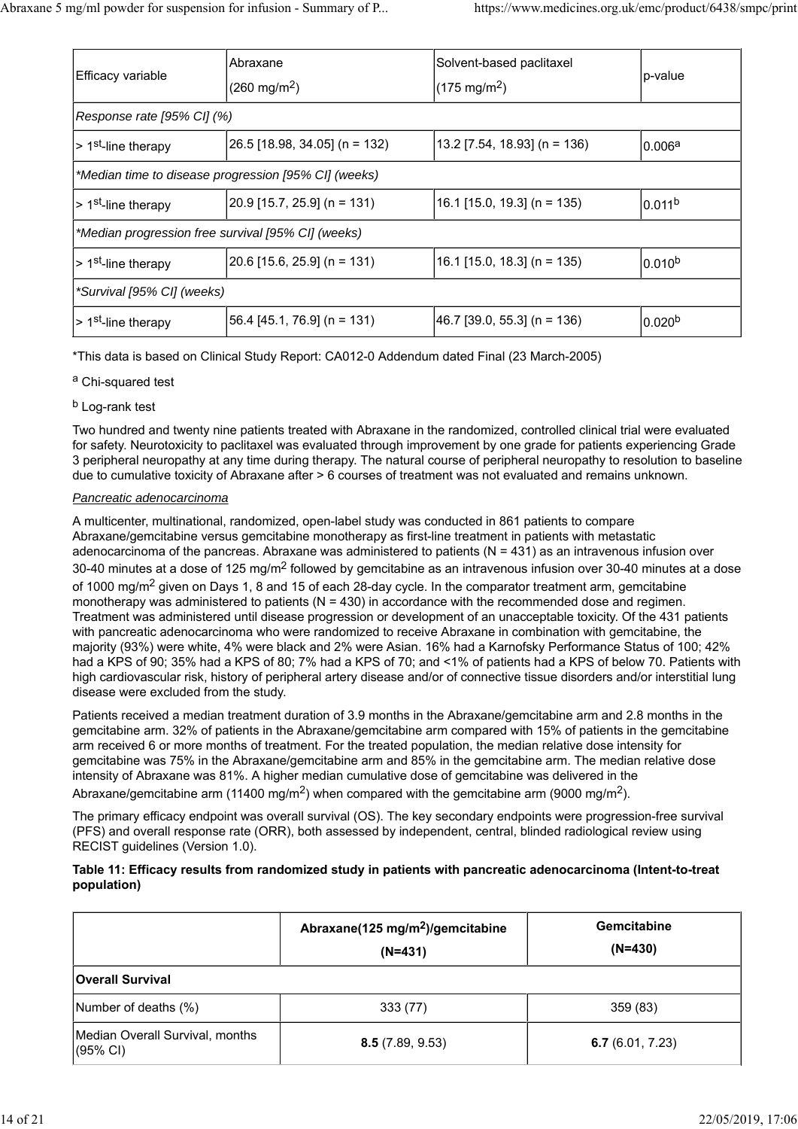| Efficacy variable                                    | Abraxane                          | Solvent-based paclitaxel       | p-value            |  |
|------------------------------------------------------|-----------------------------------|--------------------------------|--------------------|--|
|                                                      | $(260 \text{ mg/m}^2)$            | $(175 \text{ mg/m}^2)$         |                    |  |
| Response rate [95% CI] (%)                           |                                   |                                |                    |  |
| > 1 <sup>st</sup> -line therapy                      | $[26.5]$ [18.98, 34.05] (n = 132) | 13.2 $[7.54, 18.93]$ (n = 136) | 0.006 <sup>a</sup> |  |
| *Median time to disease progression [95% CI] (weeks) |                                   |                                |                    |  |
| > 1 <sup>st</sup> -line therapy                      | 20.9 [15.7, 25.9] (n = 131)       | 16.1 [15.0, 19.3] (n = 135)    | 0.011 <sup>b</sup> |  |
| *Median progression free survival [95% CI] (weeks)   |                                   |                                |                    |  |
| > 1 <sup>st</sup> -line therapy                      | 20.6 [15.6, 25.9] (n = 131)       | 16.1 [15.0, 18.3] (n = 135)    | $0.010^{b}$        |  |
| *Survival [95% CI] (weeks)                           |                                   |                                |                    |  |
| > 1 <sup>st</sup> -line therapy                      | 56.4 [45.1, 76.9] (n = 131)       | 46.7 [39.0, 55.3] (n = 136)    | 0.020 <sup>b</sup> |  |

\*This data is based on Clinical Study Report: CA012-0 Addendum dated Final (23 March-2005)

- a Chi-squared test
- b Log-rank test

Two hundred and twenty nine patients treated with Abraxane in the randomized, controlled clinical trial were evaluated for safety. Neurotoxicity to paclitaxel was evaluated through improvement by one grade for patients experiencing Grade 3 peripheral neuropathy at any time during therapy. The natural course of peripheral neuropathy to resolution to baseline due to cumulative toxicity of Abraxane after > 6 courses of treatment was not evaluated and remains unknown.

### *Pancreatic adenocarcinoma*

A multicenter, multinational, randomized, open-label study was conducted in 861 patients to compare Abraxane/gemcitabine versus gemcitabine monotherapy as first-line treatment in patients with metastatic adenocarcinoma of the pancreas. Abraxane was administered to patients (N = 431) as an intravenous infusion over 30-40 minutes at a dose of 125 mg/m<sup>2</sup> followed by gemcitabine as an intravenous infusion over 30-40 minutes at a dose of 1000 mg/m<sup>2</sup> given on Days 1, 8 and 15 of each 28-day cycle. In the comparator treatment arm, gemcitabine monotherapy was administered to patients  $(N = 430)$  in accordance with the recommended dose and regimen. Treatment was administered until disease progression or development of an unacceptable toxicity. Of the 431 patients with pancreatic adenocarcinoma who were randomized to receive Abraxane in combination with gemcitabine, the majority (93%) were white, 4% were black and 2% were Asian. 16% had a Karnofsky Performance Status of 100; 42% had a KPS of 90; 35% had a KPS of 80; 7% had a KPS of 70; and <1% of patients had a KPS of below 70. Patients with high cardiovascular risk, history of peripheral artery disease and/or of connective tissue disorders and/or interstitial lung disease were excluded from the study.

Patients received a median treatment duration of 3.9 months in the Abraxane/gemcitabine arm and 2.8 months in the gemcitabine arm. 32% of patients in the Abraxane/gemcitabine arm compared with 15% of patients in the gemcitabine arm received 6 or more months of treatment. For the treated population, the median relative dose intensity for gemcitabine was 75% in the Abraxane/gemcitabine arm and 85% in the gemcitabine arm. The median relative dose intensity of Abraxane was 81%. A higher median cumulative dose of gemcitabine was delivered in the Abraxane/gemcitabine arm (11400 mg/m<sup>2</sup>) when compared with the gemcitabine arm (9000 mg/m<sup>2</sup>).

The primary efficacy endpoint was overall survival (OS). The key secondary endpoints were progression-free survival (PFS) and overall response rate (ORR), both assessed by independent, central, blinded radiological review using RECIST guidelines (Version 1.0).

### **Table 11: Efficacy results from randomized study in patients with pancreatic adenocarcinoma (Intent-to-treat population)**

|                                             | Abraxane(125 mg/m <sup>2</sup> )/gemcitabine<br>$(N=431)$ | <b>Gemcitabine</b><br>$(N=430)$ |  |
|---------------------------------------------|-----------------------------------------------------------|---------------------------------|--|
| <b>Overall Survival</b>                     |                                                           |                                 |  |
| Number of deaths (%)                        | 333 (77)                                                  | 359 (83)                        |  |
| Median Overall Survival, months<br>(95% CI) | 8.5(7.89, 9.53)                                           | 6.7 $(6.01, 7.23)$              |  |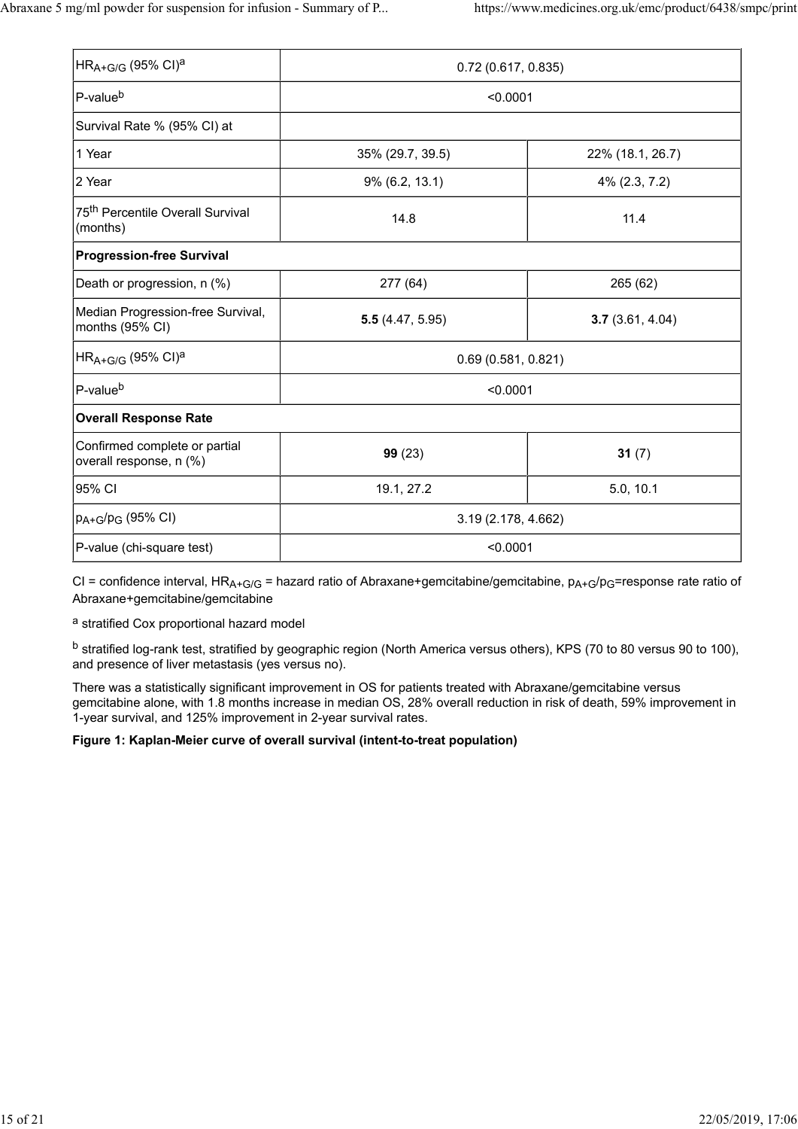| $HR_{A+G/G}$ (95% CI) <sup>a</sup>                       | 0.72(0.617, 0.835)  |                  |  |  |
|----------------------------------------------------------|---------------------|------------------|--|--|
| P-value <sup>b</sup>                                     | < 0.0001            |                  |  |  |
| Survival Rate % (95% CI) at                              |                     |                  |  |  |
| 1 Year                                                   | 35% (29.7, 39.5)    | 22% (18.1, 26.7) |  |  |
| 2 Year                                                   | 9% (6.2, 13.1)      | 4% (2.3, 7.2)    |  |  |
| 75 <sup>th</sup> Percentile Overall Survival<br>(months) | 14.8                | 11.4             |  |  |
| <b>Progression-free Survival</b>                         |                     |                  |  |  |
| Death or progression, n (%)                              | 277 (64)            | 265 (62)         |  |  |
| Median Progression-free Survival,<br>months (95% CI)     | 5.5(4.47, 5.95)     | 3.7(3.61, 4.04)  |  |  |
| $HR_{A+G/G}$ (95% CI) <sup>a</sup>                       | 0.69(0.581, 0.821)  |                  |  |  |
| P-value <sup>b</sup>                                     | < 0.0001            |                  |  |  |
| <b>Overall Response Rate</b>                             |                     |                  |  |  |
| Confirmed complete or partial<br>overall response, n (%) | 99(23)              | 31 $(7)$         |  |  |
| 95% CI                                                   | 19.1, 27.2          | 5.0, 10.1        |  |  |
| $p_{A+G}/p_G$ (95% CI)                                   | 3.19 (2.178, 4.662) |                  |  |  |
| P-value (chi-square test)                                | < 0.0001            |                  |  |  |

CI = confidence interval, HR<sub>A+G/G</sub> = hazard ratio of Abraxane+gemcitabine/gemcitabine,  $p_{A+G}/p_G$ =response rate ratio of Abraxane+gemcitabine/gemcitabine

a stratified Cox proportional hazard model

b stratified log-rank test, stratified by geographic region (North America versus others), KPS (70 to 80 versus 90 to 100), and presence of liver metastasis (yes versus no).

There was a statistically significant improvement in OS for patients treated with Abraxane/gemcitabine versus gemcitabine alone, with 1.8 months increase in median OS, 28% overall reduction in risk of death, 59% improvement in 1-year survival, and 125% improvement in 2-year survival rates.

### **Figure 1: Kaplan-Meier curve of overall survival (intent-to-treat population)**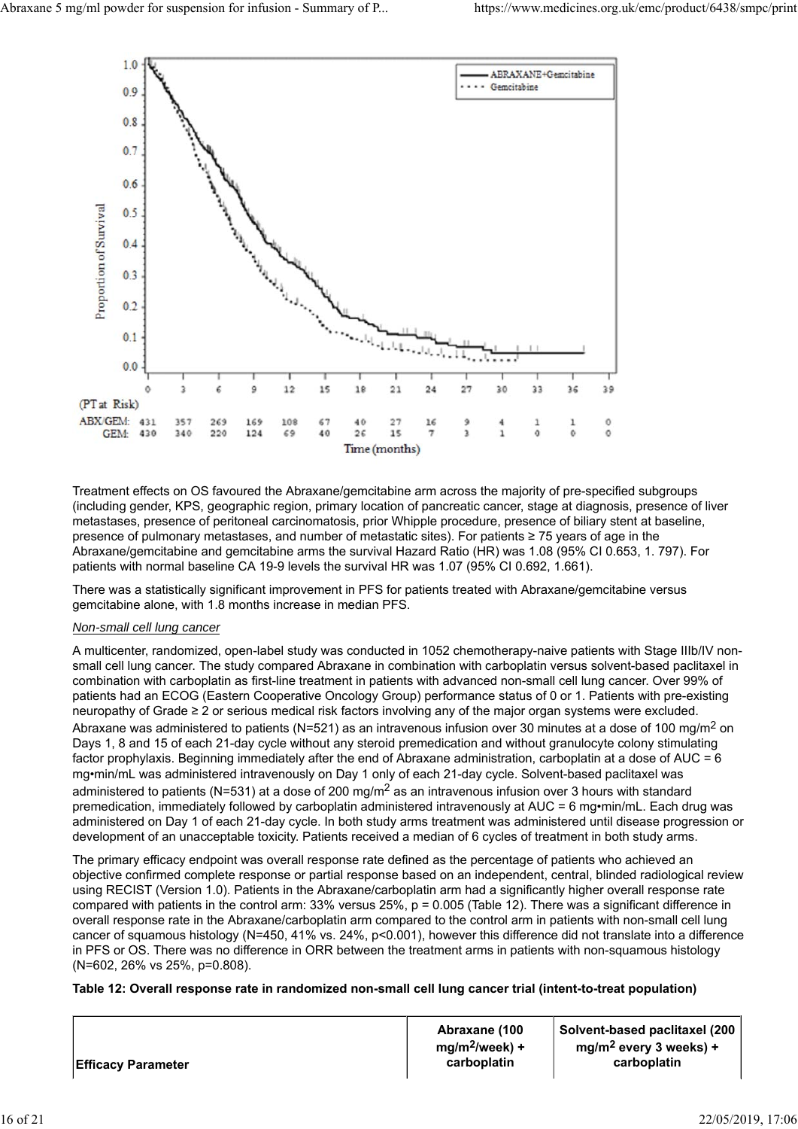

Treatment effects on OS favoured the Abraxane/gemcitabine arm across the majority of pre-specified subgroups (including gender, KPS, geographic region, primary location of pancreatic cancer, stage at diagnosis, presence of liver metastases, presence of peritoneal carcinomatosis, prior Whipple procedure, presence of biliary stent at baseline, presence of pulmonary metastases, and number of metastatic sites). For patients ≥ 75 years of age in the Abraxane/gemcitabine and gemcitabine arms the survival Hazard Ratio (HR) was 1.08 (95% CI 0.653, 1. 797). For patients with normal baseline CA 19-9 levels the survival HR was 1.07 (95% CI 0.692, 1.661).

There was a statistically significant improvement in PFS for patients treated with Abraxane/gemcitabine versus gemcitabine alone, with 1.8 months increase in median PFS.

#### *Non-small cell lung cancer*

A multicenter, randomized, open-label study was conducted in 1052 chemotherapy-naive patients with Stage IIIb/IV nonsmall cell lung cancer. The study compared Abraxane in combination with carboplatin versus solvent-based paclitaxel in combination with carboplatin as first-line treatment in patients with advanced non-small cell lung cancer. Over 99% of patients had an ECOG (Eastern Cooperative Oncology Group) performance status of 0 or 1. Patients with pre-existing neuropathy of Grade ≥ 2 or serious medical risk factors involving any of the major organ systems were excluded. Abraxane was administered to patients (N=521) as an intravenous infusion over 30 minutes at a dose of 100 mg/m<sup>2</sup> on Days 1, 8 and 15 of each 21-day cycle without any steroid premedication and without granulocyte colony stimulating factor prophylaxis. Beginning immediately after the end of Abraxane administration, carboplatin at a dose of AUC = 6 mg•min/mL was administered intravenously on Day 1 only of each 21-day cycle. Solvent-based paclitaxel was administered to patients (N=531) at a dose of 200 mg/m<sup>2</sup> as an intravenous infusion over 3 hours with standard premedication, immediately followed by carboplatin administered intravenously at AUC = 6 mg•min/mL. Each drug was administered on Day 1 of each 21-day cycle. In both study arms treatment was administered until disease progression or development of an unacceptable toxicity. Patients received a median of 6 cycles of treatment in both study arms.

The primary efficacy endpoint was overall response rate defined as the percentage of patients who achieved an objective confirmed complete response or partial response based on an independent, central, blinded radiological review using RECIST (Version 1.0). Patients in the Abraxane/carboplatin arm had a significantly higher overall response rate compared with patients in the control arm: 33% versus 25%, p = 0.005 (Table 12). There was a significant difference in overall response rate in the Abraxane/carboplatin arm compared to the control arm in patients with non-small cell lung cancer of squamous histology (N=450, 41% vs. 24%, p<0.001), however this difference did not translate into a difference in PFS or OS. There was no difference in ORR between the treatment arms in patients with non-squamous histology (N=602, 26% vs 25%, p=0.808).

#### **Table 12: Overall response rate in randomized non-small cell lung cancer trial (intent-to-treat population)**

**Efficacy Parameter**

**Abraxane (100 mg/m2/week) + carboplatin**

**Solvent-based paclitaxel (200 mg/m2 every 3 weeks) + carboplatin**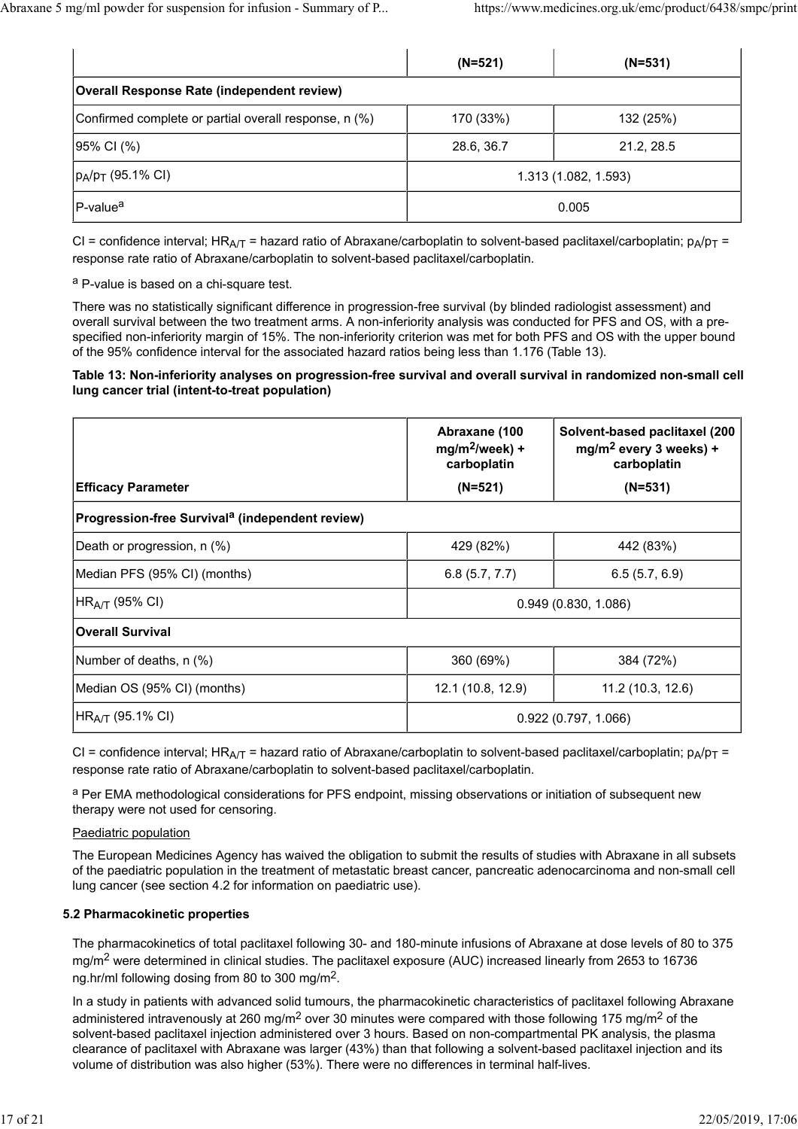|                                                       | $(N=521)$            | $(N=531)$  |  |
|-------------------------------------------------------|----------------------|------------|--|
| <b>Overall Response Rate (independent review)</b>     |                      |            |  |
| Confirmed complete or partial overall response, n (%) | 170 (33%)            | 132 (25%)  |  |
| 95% CI (%)                                            | 28.6, 36.7           | 21.2, 28.5 |  |
| $ p_A/p_T$ (95.1% CI)                                 | 1.313 (1.082, 1.593) |            |  |
| P-value <sup>a</sup>                                  | 0.005                |            |  |

CI = confidence interval; HR<sub>A/T</sub> = hazard ratio of Abraxane/carboplatin to solvent-based paclitaxel/carboplatin;  $p_A/p_T$  = response rate ratio of Abraxane/carboplatin to solvent-based paclitaxel/carboplatin.

a P-value is based on a chi-square test.

There was no statistically significant difference in progression-free survival (by blinded radiologist assessment) and overall survival between the two treatment arms. A non-inferiority analysis was conducted for PFS and OS, with a prespecified non-inferiority margin of 15%. The non-inferiority criterion was met for both PFS and OS with the upper bound of the 95% confidence interval for the associated hazard ratios being less than 1.176 (Table 13).

#### **Table 13: Non-inferiority analyses on progression-free survival and overall survival in randomized non-small cell lung cancer trial (intent-to-treat population)**

|                                                             | Abraxane (100<br>$mg/m^2$ /week) +<br>carboplatin | Solvent-based paclitaxel (200<br>mg/m <sup>2</sup> every 3 weeks) +<br>carboplatin |
|-------------------------------------------------------------|---------------------------------------------------|------------------------------------------------------------------------------------|
| <b>Efficacy Parameter</b>                                   | $(N=521)$                                         | $(N=531)$                                                                          |
| Progression-free Survival <sup>a</sup> (independent review) |                                                   |                                                                                    |
| Death or progression, n (%)                                 | 429 (82%)                                         | 442 (83%)                                                                          |
| Median PFS (95% CI) (months)                                | 6.8(5.7, 7.7)                                     | 6.5(5.7, 6.9)                                                                      |
| HR <sub>A/T</sub> (95% CI)                                  | 0.949(0.830, 1.086)                               |                                                                                    |
| <b>Overall Survival</b>                                     |                                                   |                                                                                    |
| Number of deaths, n (%)                                     | 360 (69%)                                         | 384 (72%)                                                                          |
| Median OS (95% CI) (months)                                 | 12.1 (10.8, 12.9)                                 | 11.2(10.3, 12.6)                                                                   |
| HR <sub>A/T</sub> (95.1% CI)                                | 0.922(0.797, 1.066)                               |                                                                                    |

CI = confidence interval; HR<sub>A/T</sub> = hazard ratio of Abraxane/carboplatin to solvent-based paclitaxel/carboplatin;  $p_A/p_T$  = response rate ratio of Abraxane/carboplatin to solvent-based paclitaxel/carboplatin.

<sup>a</sup> Per EMA methodological considerations for PFS endpoint, missing observations or initiation of subsequent new therapy were not used for censoring.

#### Paediatric population

The European Medicines Agency has waived the obligation to submit the results of studies with Abraxane in all subsets of the paediatric population in the treatment of metastatic breast cancer, pancreatic adenocarcinoma and non-small cell lung cancer (see section 4.2 for information on paediatric use).

#### **5.2 Pharmacokinetic properties**

The pharmacokinetics of total paclitaxel following 30- and 180-minute infusions of Abraxane at dose levels of 80 to 375 mg/m<sup>2</sup> were determined in clinical studies. The paclitaxel exposure (AUC) increased linearly from 2653 to 16736 ng.hr/ml following dosing from 80 to 300 mg/m2.

In a study in patients with advanced solid tumours, the pharmacokinetic characteristics of paclitaxel following Abraxane administered intravenously at 260 mg/m<sup>2</sup> over 30 minutes were compared with those following 175 mg/m<sup>2</sup> of the solvent-based paclitaxel injection administered over 3 hours. Based on non-compartmental PK analysis, the plasma clearance of paclitaxel with Abraxane was larger (43%) than that following a solvent-based paclitaxel injection and its volume of distribution was also higher (53%). There were no differences in terminal half-lives.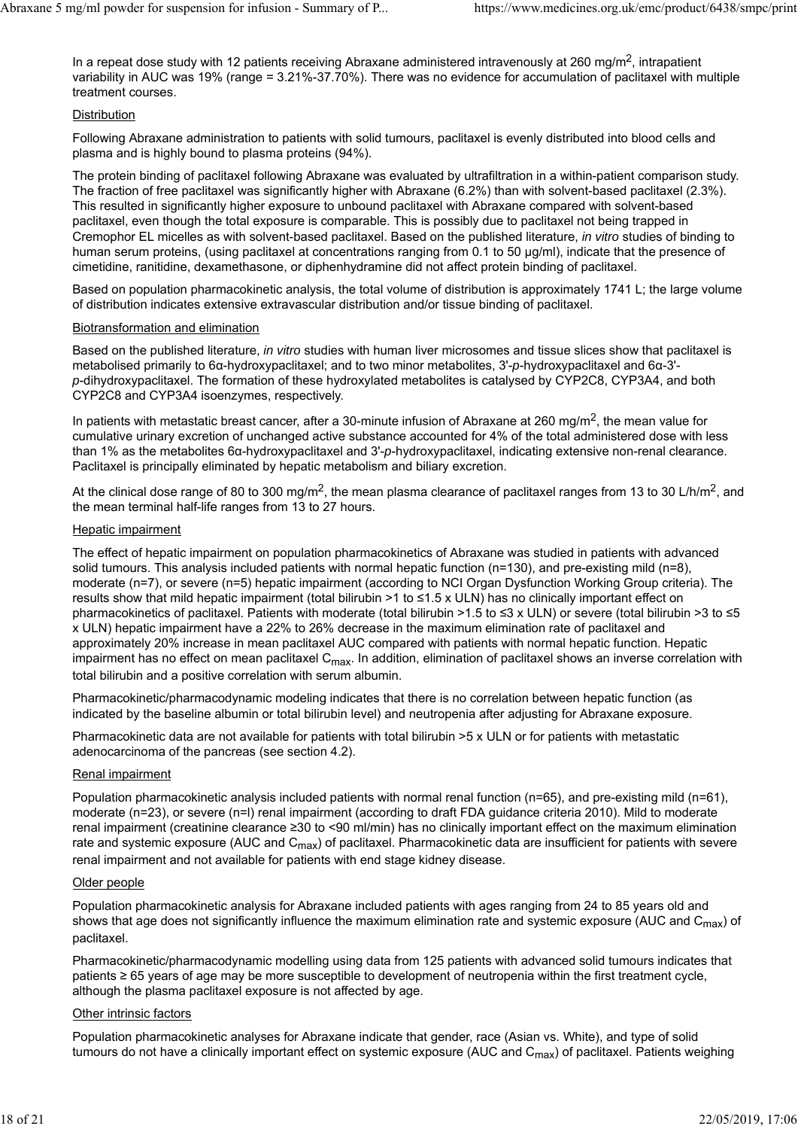In a repeat dose study with 12 patients receiving Abraxane administered intravenously at 260 mg/m<sup>2</sup>, intrapatient variability in AUC was 19% (range = 3.21%-37.70%). There was no evidence for accumulation of paclitaxel with multiple treatment courses.

### **Distribution**

Following Abraxane administration to patients with solid tumours, paclitaxel is evenly distributed into blood cells and plasma and is highly bound to plasma proteins (94%).

The protein binding of paclitaxel following Abraxane was evaluated by ultrafiltration in a within-patient comparison study. The fraction of free paclitaxel was significantly higher with Abraxane (6.2%) than with solvent-based paclitaxel (2.3%). This resulted in significantly higher exposure to unbound paclitaxel with Abraxane compared with solvent-based paclitaxel, even though the total exposure is comparable. This is possibly due to paclitaxel not being trapped in Cremophor EL micelles as with solvent-based paclitaxel. Based on the published literature, *in vitro* studies of binding to human serum proteins, (using paclitaxel at concentrations ranging from 0.1 to 50 µg/ml), indicate that the presence of cimetidine, ranitidine, dexamethasone, or diphenhydramine did not affect protein binding of paclitaxel.

Based on population pharmacokinetic analysis, the total volume of distribution is approximately 1741 L; the large volume of distribution indicates extensive extravascular distribution and/or tissue binding of paclitaxel.

### Biotransformation and elimination

Based on the published literature, *in vitro* studies with human liver microsomes and tissue slices show that paclitaxel is metabolised primarily to 6α-hydroxypaclitaxel; and to two minor metabolites, 3'-*p*-hydroxypaclitaxel and 6α-3' *p*-dihydroxypaclitaxel. The formation of these hydroxylated metabolites is catalysed by CYP2C8, CYP3A4, and both CYP2C8 and CYP3A4 isoenzymes, respectively.

In patients with metastatic breast cancer, after a 30-minute infusion of Abraxane at 260 mg/m<sup>2</sup>, the mean value for cumulative urinary excretion of unchanged active substance accounted for 4% of the total administered dose with less than 1% as the metabolites 6α-hydroxypaclitaxel and 3'-*p*-hydroxypaclitaxel, indicating extensive non-renal clearance. Paclitaxel is principally eliminated by hepatic metabolism and biliary excretion.

At the clinical dose range of 80 to 300 mg/m<sup>2</sup>, the mean plasma clearance of paclitaxel ranges from 13 to 30 L/h/m<sup>2</sup>, and the mean terminal half-life ranges from 13 to 27 hours.

### Hepatic impairment

The effect of hepatic impairment on population pharmacokinetics of Abraxane was studied in patients with advanced solid tumours. This analysis included patients with normal hepatic function (n=130), and pre-existing mild (n=8), moderate (n=7), or severe (n=5) hepatic impairment (according to NCI Organ Dysfunction Working Group criteria). The results show that mild hepatic impairment (total bilirubin >1 to ≤1.5 x ULN) has no clinically important effect on pharmacokinetics of paclitaxel. Patients with moderate (total bilirubin >1.5 to ≤3 x ULN) or severe (total bilirubin >3 to ≤5 x ULN) hepatic impairment have a 22% to 26% decrease in the maximum elimination rate of paclitaxel and approximately 20% increase in mean paclitaxel AUC compared with patients with normal hepatic function. Hepatic impairment has no effect on mean paclitaxel C<sub>max</sub>. In addition, elimination of paclitaxel shows an inverse correlation with total bilirubin and a positive correlation with serum albumin.

Pharmacokinetic/pharmacodynamic modeling indicates that there is no correlation between hepatic function (as indicated by the baseline albumin or total bilirubin level) and neutropenia after adjusting for Abraxane exposure.

Pharmacokinetic data are not available for patients with total bilirubin >5 x ULN or for patients with metastatic adenocarcinoma of the pancreas (see section 4.2).

### Renal impairment

Population pharmacokinetic analysis included patients with normal renal function (n=65), and pre-existing mild (n=61), moderate (n=23), or severe (n=l) renal impairment (according to draft FDA guidance criteria 2010). Mild to moderate renal impairment (creatinine clearance ≥30 to <90 ml/min) has no clinically important effect on the maximum elimination rate and systemic exposure (AUC and C<sub>max</sub>) of paclitaxel. Pharmacokinetic data are insufficient for patients with severe renal impairment and not available for patients with end stage kidney disease.

### Older people

Population pharmacokinetic analysis for Abraxane included patients with ages ranging from 24 to 85 years old and shows that age does not significantly influence the maximum elimination rate and systemic exposure (AUC and  $C_{\text{max}}$ ) of paclitaxel.

Pharmacokinetic/pharmacodynamic modelling using data from 125 patients with advanced solid tumours indicates that patients ≥ 65 years of age may be more susceptible to development of neutropenia within the first treatment cycle, although the plasma paclitaxel exposure is not affected by age.

### Other intrinsic factors

Population pharmacokinetic analyses for Abraxane indicate that gender, race (Asian vs. White), and type of solid tumours do not have a clinically important effect on systemic exposure (AUC and  $C_{\text{max}}$ ) of paclitaxel. Patients weighing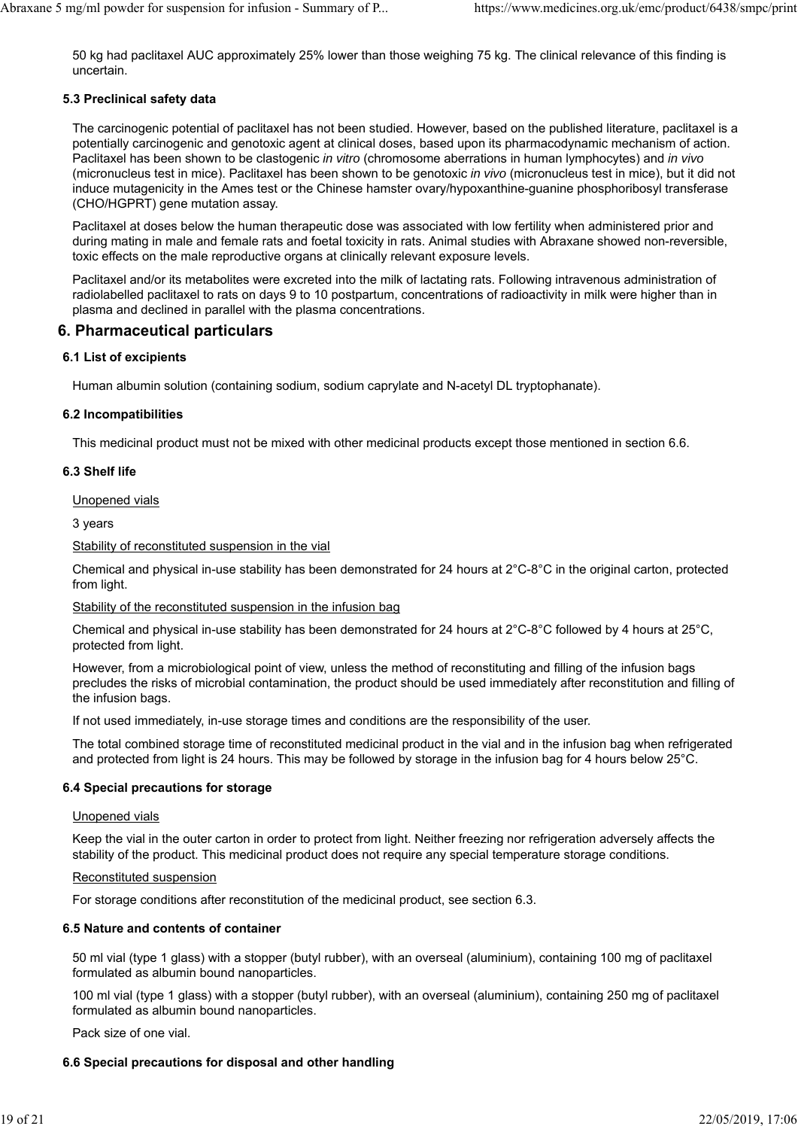50 kg had paclitaxel AUC approximately 25% lower than those weighing 75 kg. The clinical relevance of this finding is uncertain.

### **5.3 Preclinical safety data**

The carcinogenic potential of paclitaxel has not been studied. However, based on the published literature, paclitaxel is a potentially carcinogenic and genotoxic agent at clinical doses, based upon its pharmacodynamic mechanism of action. Paclitaxel has been shown to be clastogenic *in vitro* (chromosome aberrations in human lymphocytes) and *in vivo* (micronucleus test in mice). Paclitaxel has been shown to be genotoxic *in vivo* (micronucleus test in mice), but it did not induce mutagenicity in the Ames test or the Chinese hamster ovary/hypoxanthine-guanine phosphoribosyl transferase (CHO/HGPRT) gene mutation assay.

Paclitaxel at doses below the human therapeutic dose was associated with low fertility when administered prior and during mating in male and female rats and foetal toxicity in rats. Animal studies with Abraxane showed non-reversible, toxic effects on the male reproductive organs at clinically relevant exposure levels.

Paclitaxel and/or its metabolites were excreted into the milk of lactating rats. Following intravenous administration of radiolabelled paclitaxel to rats on days 9 to 10 postpartum, concentrations of radioactivity in milk were higher than in plasma and declined in parallel with the plasma concentrations.

# **6. Pharmaceutical particulars**

### **6.1 List of excipients**

Human albumin solution (containing sodium, sodium caprylate and N-acetyl DL tryptophanate).

### **6.2 Incompatibilities**

This medicinal product must not be mixed with other medicinal products except those mentioned in section 6.6.

### **6.3 Shelf life**

Unopened vials

3 years

Stability of reconstituted suspension in the vial

Chemical and physical in-use stability has been demonstrated for 24 hours at 2°C-8°C in the original carton, protected from light.

#### Stability of the reconstituted suspension in the infusion bag

Chemical and physical in-use stability has been demonstrated for 24 hours at 2°C-8°C followed by 4 hours at 25°C, protected from light.

However, from a microbiological point of view, unless the method of reconstituting and filling of the infusion bags precludes the risks of microbial contamination, the product should be used immediately after reconstitution and filling of the infusion bags.

If not used immediately, in-use storage times and conditions are the responsibility of the user.

The total combined storage time of reconstituted medicinal product in the vial and in the infusion bag when refrigerated and protected from light is 24 hours. This may be followed by storage in the infusion bag for 4 hours below 25°C.

### **6.4 Special precautions for storage**

#### Unopened vials

Keep the vial in the outer carton in order to protect from light. Neither freezing nor refrigeration adversely affects the stability of the product. This medicinal product does not require any special temperature storage conditions.

#### Reconstituted suspension

For storage conditions after reconstitution of the medicinal product, see section 6.3.

### **6.5 Nature and contents of container**

50 ml vial (type 1 glass) with a stopper (butyl rubber), with an overseal (aluminium), containing 100 mg of paclitaxel formulated as albumin bound nanoparticles.

100 ml vial (type 1 glass) with a stopper (butyl rubber), with an overseal (aluminium), containing 250 mg of paclitaxel formulated as albumin bound nanoparticles.

Pack size of one vial.

### **6.6 Special precautions for disposal and other handling**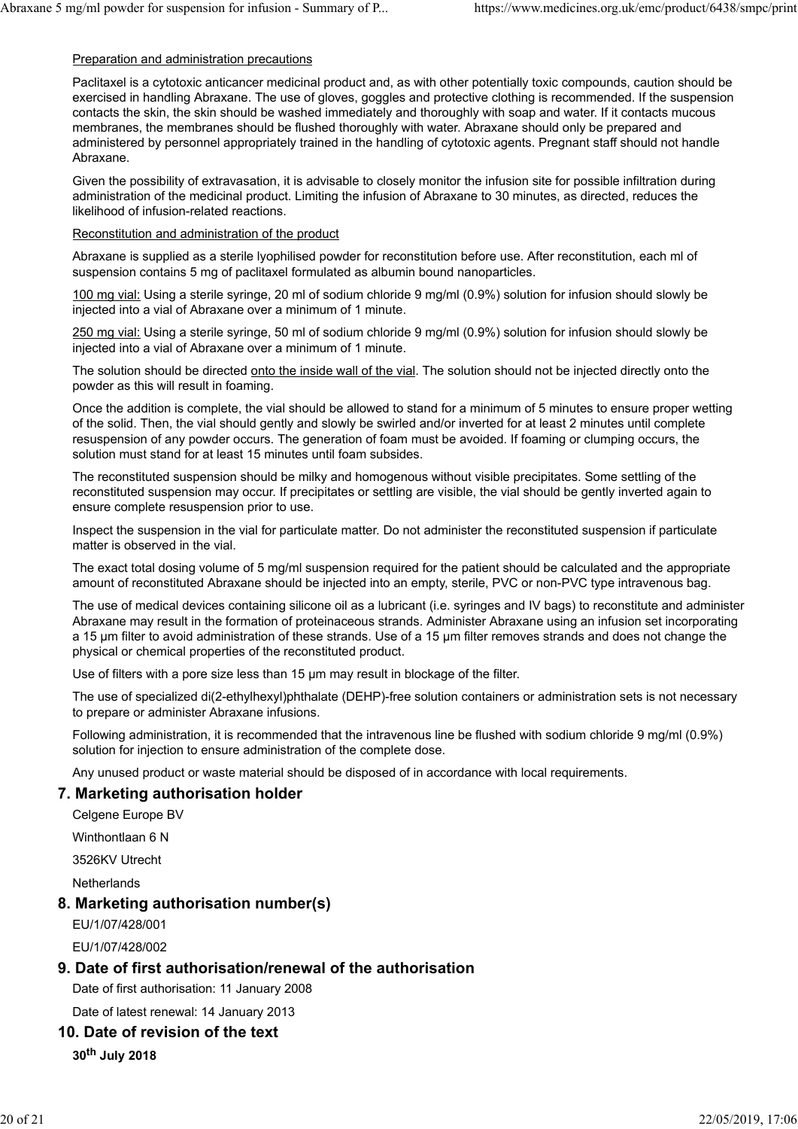#### Preparation and administration precautions

Paclitaxel is a cytotoxic anticancer medicinal product and, as with other potentially toxic compounds, caution should be exercised in handling Abraxane. The use of gloves, goggles and protective clothing is recommended. If the suspension contacts the skin, the skin should be washed immediately and thoroughly with soap and water. If it contacts mucous membranes, the membranes should be flushed thoroughly with water. Abraxane should only be prepared and administered by personnel appropriately trained in the handling of cytotoxic agents. Pregnant staff should not handle Abraxane.

Given the possibility of extravasation, it is advisable to closely monitor the infusion site for possible infiltration during administration of the medicinal product. Limiting the infusion of Abraxane to 30 minutes, as directed, reduces the likelihood of infusion-related reactions.

#### Reconstitution and administration of the product

Abraxane is supplied as a sterile lyophilised powder for reconstitution before use. After reconstitution, each ml of suspension contains 5 mg of paclitaxel formulated as albumin bound nanoparticles.

100 mg vial: Using a sterile syringe, 20 ml of sodium chloride 9 mg/ml (0.9%) solution for infusion should slowly be injected into a vial of Abraxane over a minimum of 1 minute.

250 mg vial: Using a sterile syringe, 50 ml of sodium chloride 9 mg/ml (0.9%) solution for infusion should slowly be injected into a vial of Abraxane over a minimum of 1 minute.

The solution should be directed onto the inside wall of the vial. The solution should not be injected directly onto the powder as this will result in foaming.

Once the addition is complete, the vial should be allowed to stand for a minimum of 5 minutes to ensure proper wetting of the solid. Then, the vial should gently and slowly be swirled and/or inverted for at least 2 minutes until complete resuspension of any powder occurs. The generation of foam must be avoided. If foaming or clumping occurs, the solution must stand for at least 15 minutes until foam subsides.

The reconstituted suspension should be milky and homogenous without visible precipitates. Some settling of the reconstituted suspension may occur. If precipitates or settling are visible, the vial should be gently inverted again to ensure complete resuspension prior to use.

Inspect the suspension in the vial for particulate matter. Do not administer the reconstituted suspension if particulate matter is observed in the vial.

The exact total dosing volume of 5 mg/ml suspension required for the patient should be calculated and the appropriate amount of reconstituted Abraxane should be injected into an empty, sterile, PVC or non-PVC type intravenous bag.

The use of medical devices containing silicone oil as a lubricant (i.e. syringes and IV bags) to reconstitute and administer Abraxane may result in the formation of proteinaceous strands. Administer Abraxane using an infusion set incorporating a 15 µm filter to avoid administration of these strands. Use of a 15 µm filter removes strands and does not change the physical or chemical properties of the reconstituted product.

Use of filters with a pore size less than 15 µm may result in blockage of the filter.

The use of specialized di(2-ethylhexyl)phthalate (DEHP)-free solution containers or administration sets is not necessary to prepare or administer Abraxane infusions.

Following administration, it is recommended that the intravenous line be flushed with sodium chloride 9 mg/ml (0.9%) solution for injection to ensure administration of the complete dose.

Any unused product or waste material should be disposed of in accordance with local requirements.

### **7. Marketing authorisation holder**

Celgene Europe BV

Winthontlaan 6 N

3526KV Utrecht

**Netherlands** 

### **8. Marketing authorisation number(s)**

EU/1/07/428/001

EU/1/07/428/002

### **9. Date of first authorisation/renewal of the authorisation**

Date of first authorisation: 11 January 2008

Date of latest renewal: 14 January 2013

# **10. Date of revision of the text**

**30th July 2018**